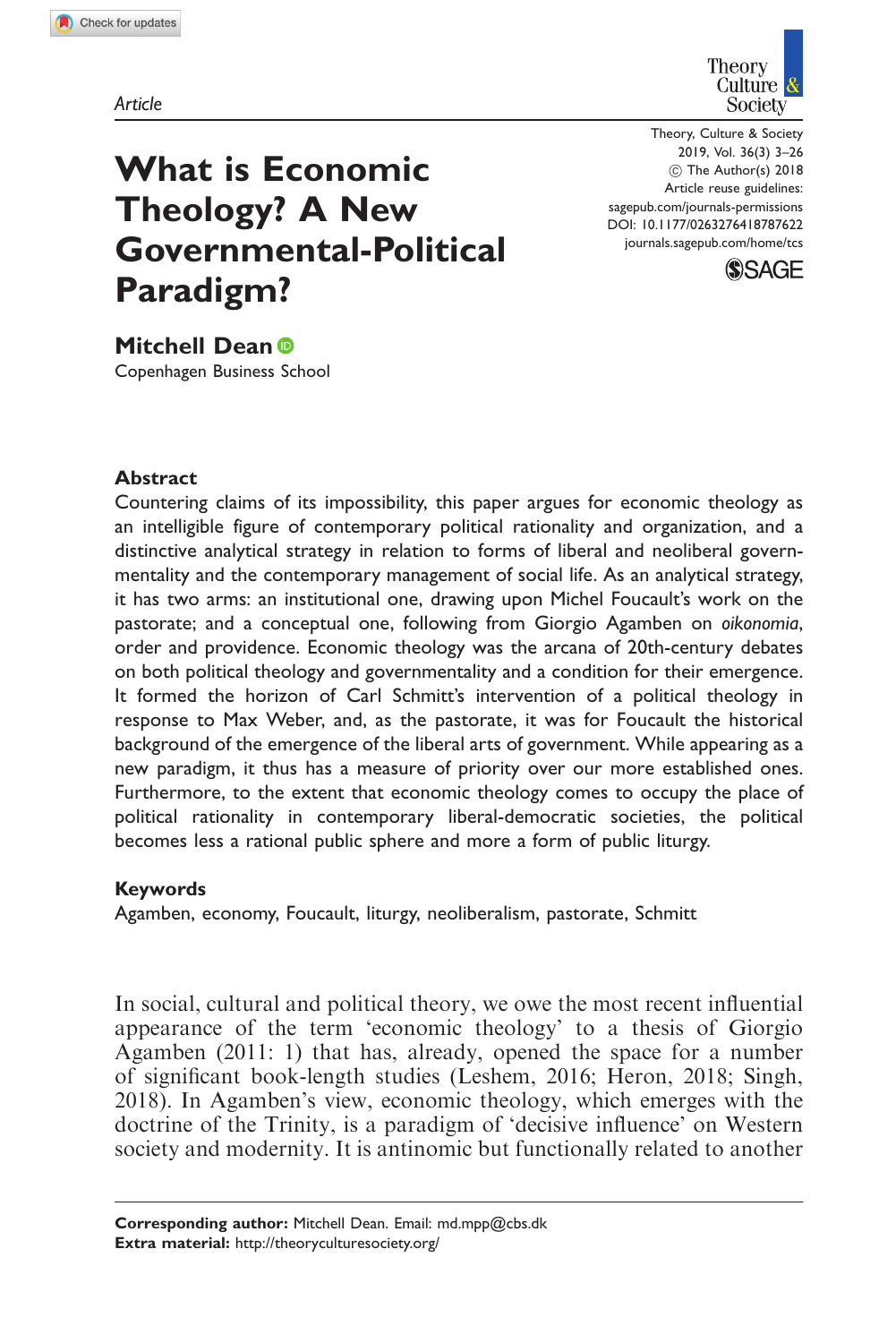



Theory, Culture & Society 2019, Vol. 36(3) 3–26 ! The Author(s) 2018 Article reuse guidelines: [sagepub.com/journals-permissions](https://uk.sagepub.com/en-gb/journals-permissions) DOI: [10.1177/0263276418787622](https://doi.org/10.1177/0263276418787622) <journals.sagepub.com/home/tcs>



Mitchell Dean<sup>®</sup> Copenhagen Business School

Paradigm?

What is Economic

Theology? A New

Governmental-Political

### **Abstract**

Countering claims of its impossibility, this paper argues for economic theology as an intelligible figure of contemporary political rationality and organization, and a distinctive analytical strategy in relation to forms of liberal and neoliberal governmentality and the contemporary management of social life. As an analytical strategy, it has two arms: an institutional one, drawing upon Michel Foucault's work on the pastorate; and a conceptual one, following from Giorgio Agamben on oikonomia, order and providence. Economic theology was the arcana of 20th-century debates on both political theology and governmentality and a condition for their emergence. It formed the horizon of Carl Schmitt's intervention of a political theology in response to Max Weber, and, as the pastorate, it was for Foucault the historical background of the emergence of the liberal arts of government. While appearing as a new paradigm, it thus has a measure of priority over our more established ones. Furthermore, to the extent that economic theology comes to occupy the place of political rationality in contemporary liberal-democratic societies, the political becomes less a rational public sphere and more a form of public liturgy.

#### Keywords

Agamben, economy, Foucault, liturgy, neoliberalism, pastorate, Schmitt

In social, cultural and political theory, we owe the most recent influential appearance of the term 'economic theology' to a thesis of Giorgio Agamben (2011: 1) that has, already, opened the space for a number of significant book-length studies (Leshem, 2016; Heron, 2018; Singh, 2018). In Agamben's view, economic theology, which emerges with the doctrine of the Trinity, is a paradigm of 'decisive influence' on Western society and modernity. It is antinomic but functionally related to another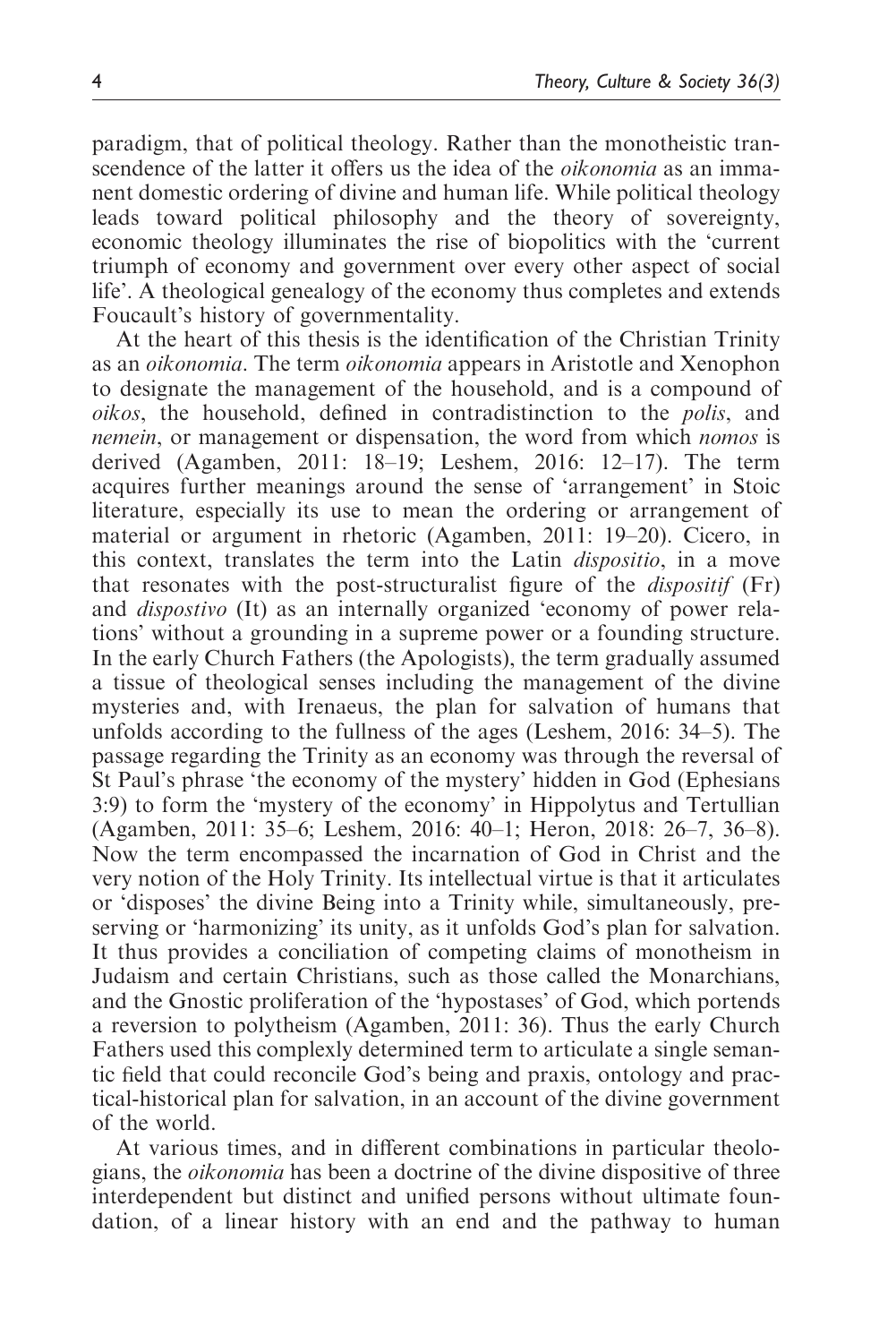paradigm, that of political theology. Rather than the monotheistic transcendence of the latter it offers us the idea of the *oikonomia* as an immanent domestic ordering of divine and human life. While political theology leads toward political philosophy and the theory of sovereignty, economic theology illuminates the rise of biopolitics with the 'current triumph of economy and government over every other aspect of social life'. A theological genealogy of the economy thus completes and extends Foucault's history of governmentality.

At the heart of this thesis is the identification of the Christian Trinity as an oikonomia. The term oikonomia appears in Aristotle and Xenophon to designate the management of the household, and is a compound of oikos, the household, defined in contradistinction to the polis, and nemein, or management or dispensation, the word from which nomos is derived (Agamben, 2011: 18–19; Leshem, 2016: 12–17). The term acquires further meanings around the sense of 'arrangement' in Stoic literature, especially its use to mean the ordering or arrangement of material or argument in rhetoric (Agamben, 2011: 19–20). Cicero, in this context, translates the term into the Latin dispositio, in a move that resonates with the post-structuralist figure of the dispositif (Fr) and dispostivo (It) as an internally organized 'economy of power relations' without a grounding in a supreme power or a founding structure. In the early Church Fathers (the Apologists), the term gradually assumed a tissue of theological senses including the management of the divine mysteries and, with Irenaeus, the plan for salvation of humans that unfolds according to the fullness of the ages (Leshem, 2016: 34–5). The passage regarding the Trinity as an economy was through the reversal of St Paul's phrase 'the economy of the mystery' hidden in God (Ephesians 3:9) to form the 'mystery of the economy' in Hippolytus and Tertullian (Agamben, 2011: 35–6; Leshem, 2016: 40–1; Heron, 2018: 26–7, 36–8). Now the term encompassed the incarnation of God in Christ and the very notion of the Holy Trinity. Its intellectual virtue is that it articulates or 'disposes' the divine Being into a Trinity while, simultaneously, preserving or 'harmonizing' its unity, as it unfolds God's plan for salvation. It thus provides a conciliation of competing claims of monotheism in Judaism and certain Christians, such as those called the Monarchians, and the Gnostic proliferation of the 'hypostases' of God, which portends a reversion to polytheism (Agamben, 2011: 36). Thus the early Church Fathers used this complexly determined term to articulate a single semantic field that could reconcile God's being and praxis, ontology and practical-historical plan for salvation, in an account of the divine government of the world.

At various times, and in different combinations in particular theologians, the oikonomia has been a doctrine of the divine dispositive of three interdependent but distinct and unified persons without ultimate foundation, of a linear history with an end and the pathway to human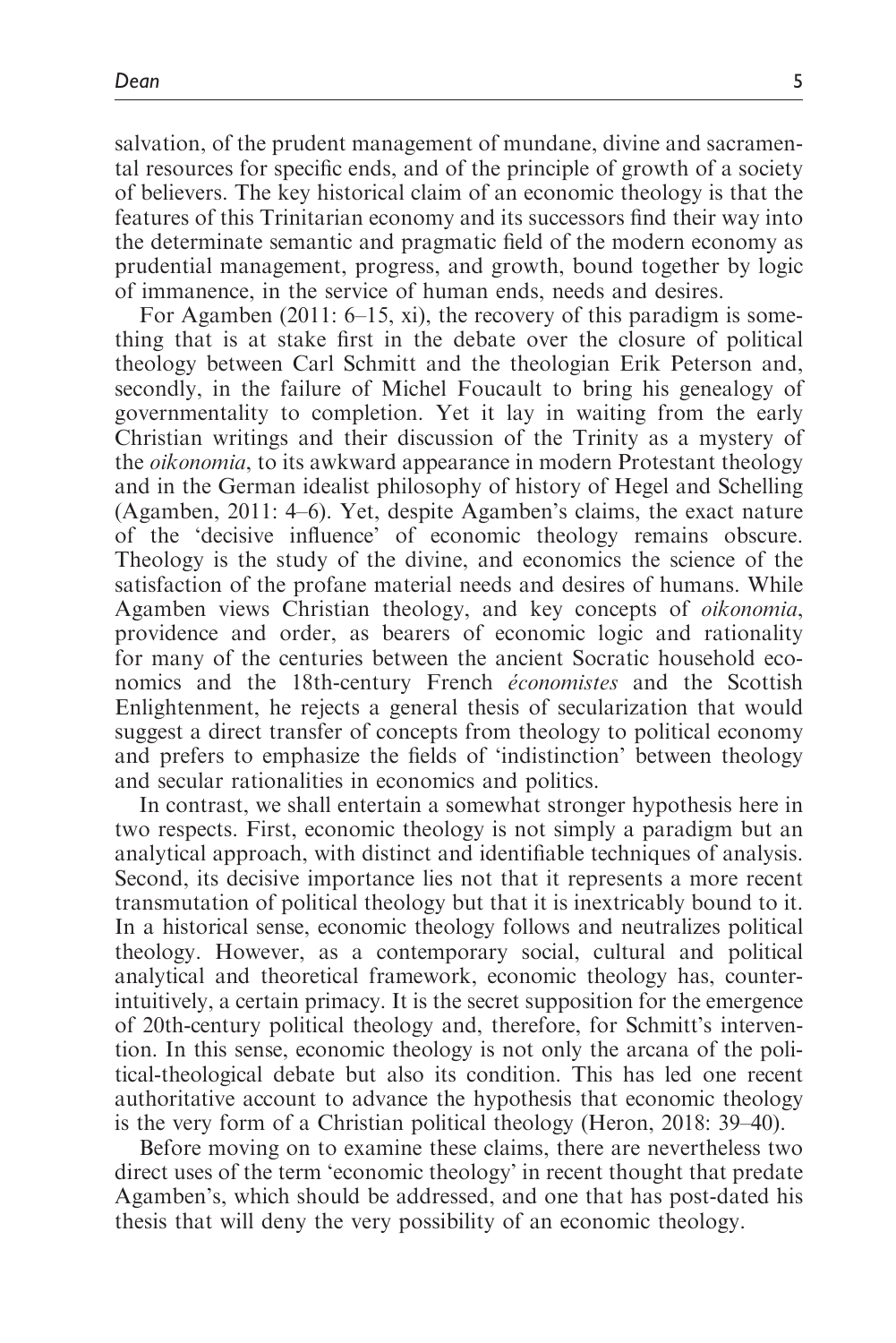salvation, of the prudent management of mundane, divine and sacramental resources for specific ends, and of the principle of growth of a society of believers. The key historical claim of an economic theology is that the features of this Trinitarian economy and its successors find their way into the determinate semantic and pragmatic field of the modern economy as prudential management, progress, and growth, bound together by logic of immanence, in the service of human ends, needs and desires.

For Agamben (2011: 6–15, xi), the recovery of this paradigm is something that is at stake first in the debate over the closure of political theology between Carl Schmitt and the theologian Erik Peterson and, secondly, in the failure of Michel Foucault to bring his genealogy of governmentality to completion. Yet it lay in waiting from the early Christian writings and their discussion of the Trinity as a mystery of the oikonomia, to its awkward appearance in modern Protestant theology and in the German idealist philosophy of history of Hegel and Schelling (Agamben, 2011: 4–6). Yet, despite Agamben's claims, the exact nature of the 'decisive influence' of economic theology remains obscure. Theology is the study of the divine, and economics the science of the satisfaction of the profane material needs and desires of humans. While Agamben views Christian theology, and key concepts of oikonomia, providence and order, as bearers of economic logic and rationality for many of the centuries between the ancient Socratic household economics and the 18th-century French *économistes* and the Scottish Enlightenment, he rejects a general thesis of secularization that would suggest a direct transfer of concepts from theology to political economy and prefers to emphasize the fields of 'indistinction' between theology and secular rationalities in economics and politics.

In contrast, we shall entertain a somewhat stronger hypothesis here in two respects. First, economic theology is not simply a paradigm but an analytical approach, with distinct and identifiable techniques of analysis. Second, its decisive importance lies not that it represents a more recent transmutation of political theology but that it is inextricably bound to it. In a historical sense, economic theology follows and neutralizes political theology. However, as a contemporary social, cultural and political analytical and theoretical framework, economic theology has, counterintuitively, a certain primacy. It is the secret supposition for the emergence of 20th-century political theology and, therefore, for Schmitt's intervention. In this sense, economic theology is not only the arcana of the political-theological debate but also its condition. This has led one recent authoritative account to advance the hypothesis that economic theology is the very form of a Christian political theology (Heron, 2018: 39–40).

Before moving on to examine these claims, there are nevertheless two direct uses of the term 'economic theology' in recent thought that predate Agamben's, which should be addressed, and one that has post-dated his thesis that will deny the very possibility of an economic theology.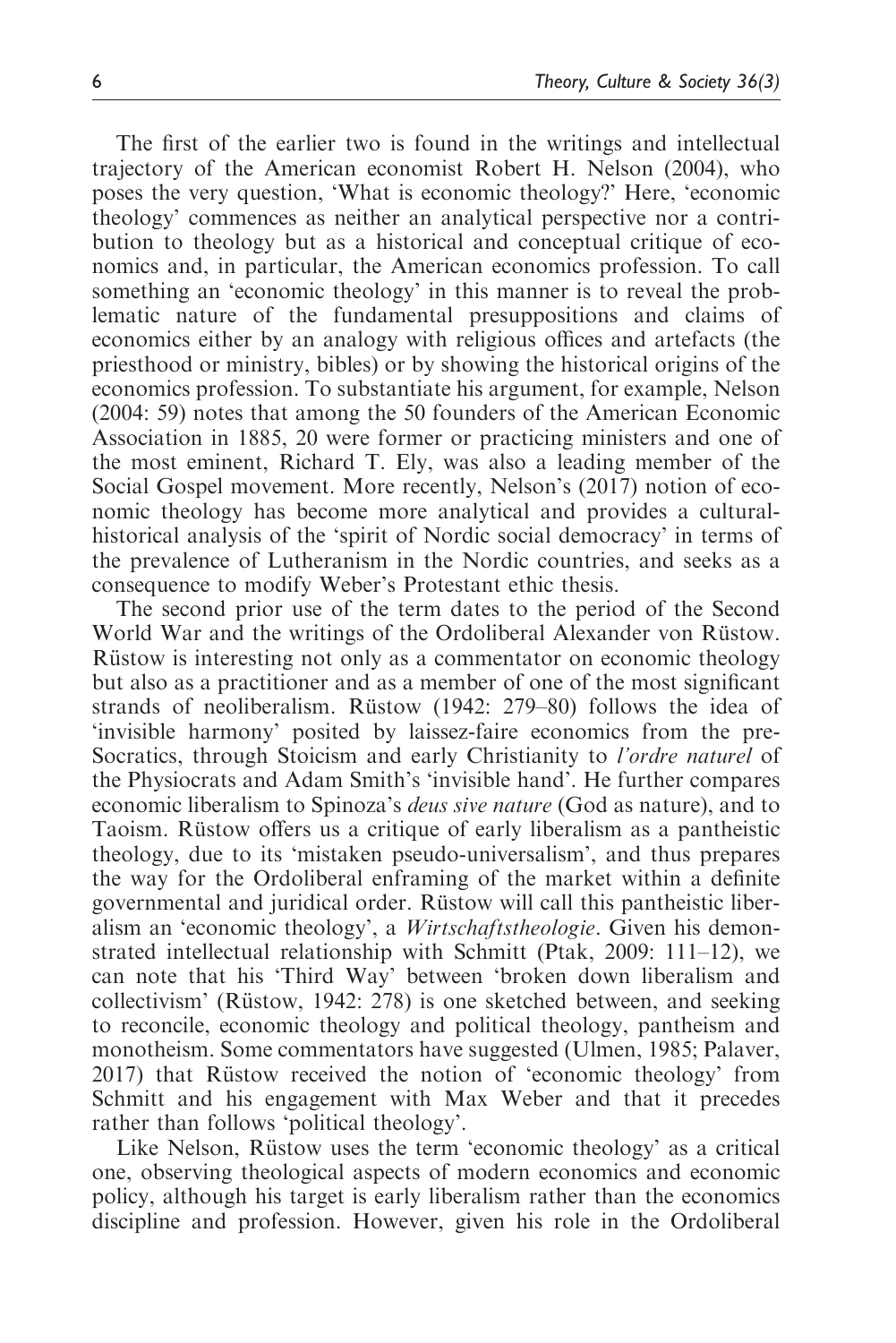The first of the earlier two is found in the writings and intellectual trajectory of the American economist Robert H. Nelson (2004), who poses the very question, 'What is economic theology?' Here, 'economic theology' commences as neither an analytical perspective nor a contribution to theology but as a historical and conceptual critique of economics and, in particular, the American economics profession. To call something an 'economic theology' in this manner is to reveal the problematic nature of the fundamental presuppositions and claims of economics either by an analogy with religious offices and artefacts (the priesthood or ministry, bibles) or by showing the historical origins of the economics profession. To substantiate his argument, for example, Nelson (2004: 59) notes that among the 50 founders of the American Economic Association in 1885, 20 were former or practicing ministers and one of the most eminent, Richard T. Ely, was also a leading member of the Social Gospel movement. More recently, Nelson's (2017) notion of economic theology has become more analytical and provides a culturalhistorical analysis of the 'spirit of Nordic social democracy' in terms of the prevalence of Lutheranism in the Nordic countries, and seeks as a consequence to modify Weber's Protestant ethic thesis.

The second prior use of the term dates to the period of the Second World War and the writings of the Ordoliberal Alexander von Rüstow. Rüstow is interesting not only as a commentator on economic theology but also as a practitioner and as a member of one of the most significant strands of neoliberalism. Rüstow (1942: 279–80) follows the idea of 'invisible harmony' posited by laissez-faire economics from the pre-Socratics, through Stoicism and early Christianity to *l'ordre naturel* of the Physiocrats and Adam Smith's 'invisible hand'. He further compares economic liberalism to Spinoza's deus sive nature (God as nature), and to Taoism. Rüstow offers us a critique of early liberalism as a pantheistic theology, due to its 'mistaken pseudo-universalism', and thus prepares the way for the Ordoliberal enframing of the market within a definite governmental and juridical order. Rüstow will call this pantheistic liberalism an 'economic theology', a Wirtschaftstheologie. Given his demonstrated intellectual relationship with Schmitt (Ptak, 2009: 111–12), we can note that his 'Third Way' between 'broken down liberalism and collectivism' (Rüstow, 1942: 278) is one sketched between, and seeking to reconcile, economic theology and political theology, pantheism and monotheism. Some commentators have suggested (Ulmen, 1985; Palaver, 2017) that Rüstow received the notion of 'economic theology' from Schmitt and his engagement with Max Weber and that it precedes rather than follows 'political theology'.

Like Nelson, Rüstow uses the term 'economic theology' as a critical one, observing theological aspects of modern economics and economic policy, although his target is early liberalism rather than the economics discipline and profession. However, given his role in the Ordoliberal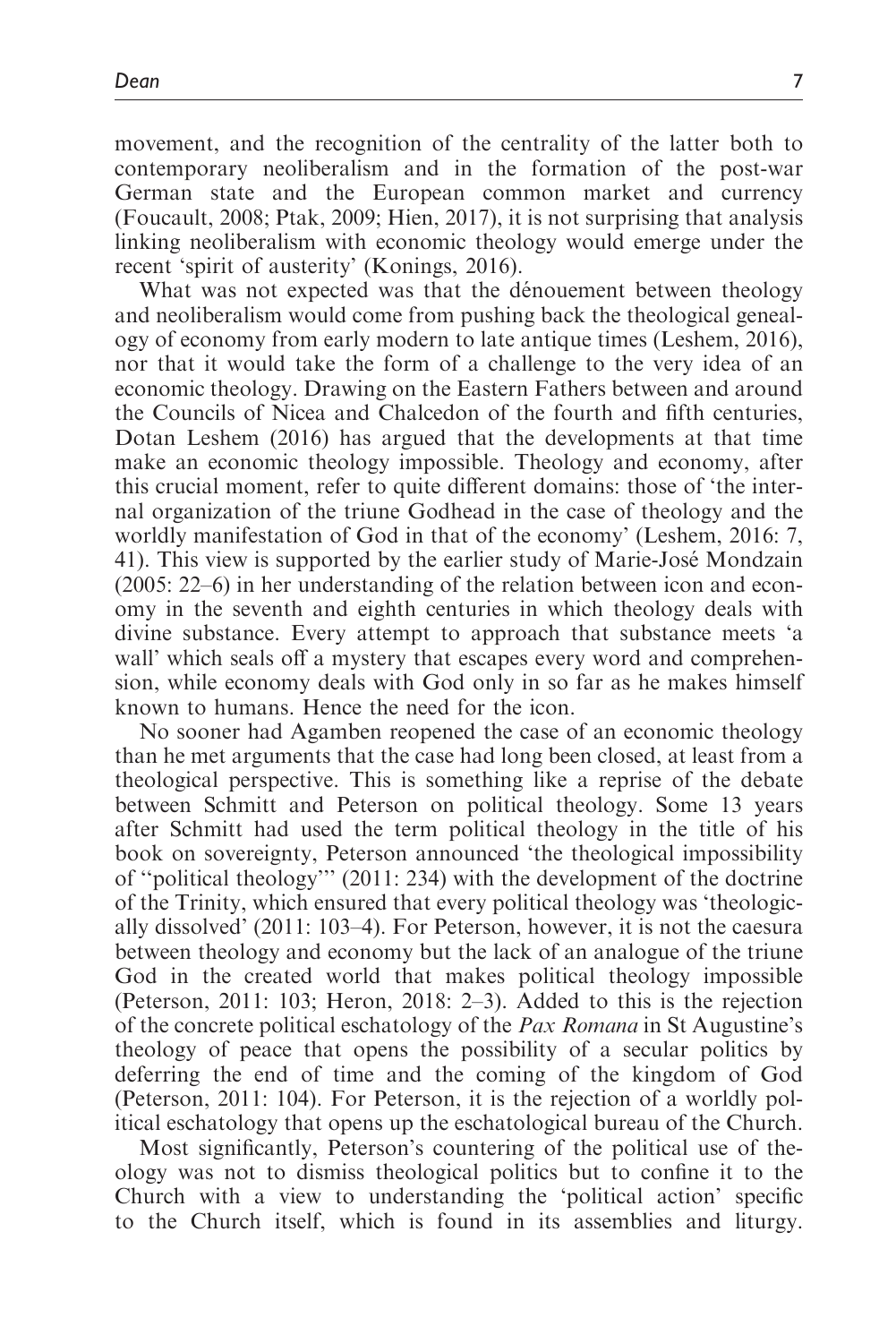movement, and the recognition of the centrality of the latter both to contemporary neoliberalism and in the formation of the post-war German state and the European common market and currency (Foucault, 2008; Ptak, 2009; Hien, 2017), it is not surprising that analysis linking neoliberalism with economic theology would emerge under the recent 'spirit of austerity' (Konings, 2016).

What was not expected was that the dénouement between theology and neoliberalism would come from pushing back the theological genealogy of economy from early modern to late antique times (Leshem, 2016), nor that it would take the form of a challenge to the very idea of an economic theology. Drawing on the Eastern Fathers between and around the Councils of Nicea and Chalcedon of the fourth and fifth centuries, Dotan Leshem (2016) has argued that the developments at that time make an economic theology impossible. Theology and economy, after this crucial moment, refer to quite different domains: those of 'the internal organization of the triune Godhead in the case of theology and the worldly manifestation of God in that of the economy' (Leshem, 2016: 7, 41). This view is supported by the earlier study of Marie-José Mondzain (2005: 22–6) in her understanding of the relation between icon and economy in the seventh and eighth centuries in which theology deals with divine substance. Every attempt to approach that substance meets 'a wall' which seals off a mystery that escapes every word and comprehension, while economy deals with God only in so far as he makes himself known to humans. Hence the need for the icon.

No sooner had Agamben reopened the case of an economic theology than he met arguments that the case had long been closed, at least from a theological perspective. This is something like a reprise of the debate between Schmitt and Peterson on political theology. Some 13 years after Schmitt had used the term political theology in the title of his book on sovereignty, Peterson announced 'the theological impossibility of ''political theology''' (2011: 234) with the development of the doctrine of the Trinity, which ensured that every political theology was 'theologically dissolved' (2011: 103–4). For Peterson, however, it is not the caesura between theology and economy but the lack of an analogue of the triune God in the created world that makes political theology impossible (Peterson, 2011: 103; Heron, 2018: 2–3). Added to this is the rejection of the concrete political eschatology of the *Pax Romana* in St Augustine's theology of peace that opens the possibility of a secular politics by deferring the end of time and the coming of the kingdom of God (Peterson, 2011: 104). For Peterson, it is the rejection of a worldly political eschatology that opens up the eschatological bureau of the Church.

Most significantly, Peterson's countering of the political use of theology was not to dismiss theological politics but to confine it to the Church with a view to understanding the 'political action' specific to the Church itself, which is found in its assemblies and liturgy.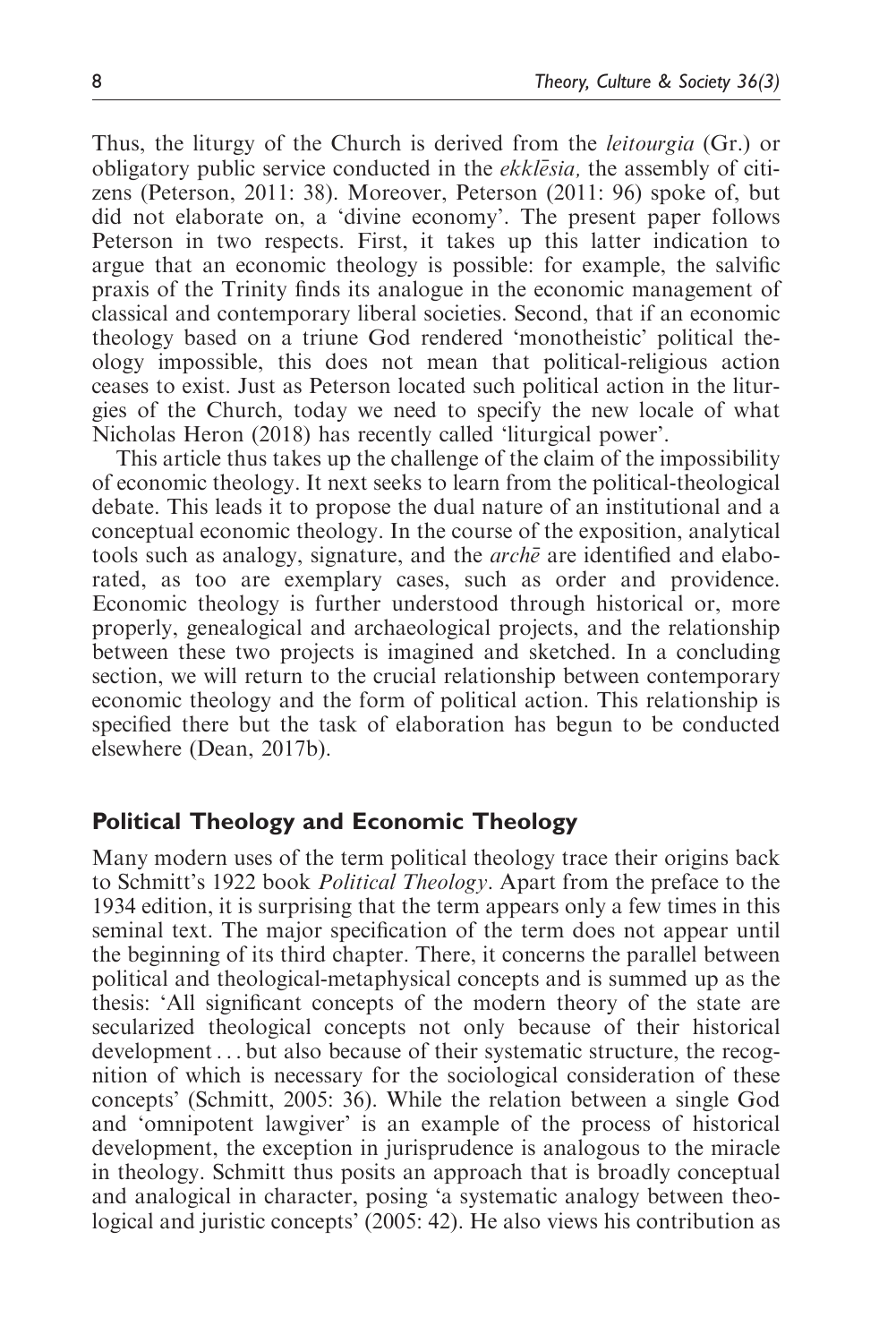Thus, the liturgy of the Church is derived from the leitourgia (Gr.) or obligatory public service conducted in the *ekklesia*, the assembly of citizens (Peterson, 2011: 38). Moreover, Peterson (2011: 96) spoke of, but did not elaborate on, a 'divine economy'. The present paper follows Peterson in two respects. First, it takes up this latter indication to argue that an economic theology is possible: for example, the salvific praxis of the Trinity finds its analogue in the economic management of classical and contemporary liberal societies. Second, that if an economic theology based on a triune God rendered 'monotheistic' political theology impossible, this does not mean that political-religious action ceases to exist. Just as Peterson located such political action in the liturgies of the Church, today we need to specify the new locale of what Nicholas Heron (2018) has recently called 'liturgical power'.

This article thus takes up the challenge of the claim of the impossibility of economic theology. It next seeks to learn from the political-theological debate. This leads it to propose the dual nature of an institutional and a conceptual economic theology. In the course of the exposition, analytical tools such as analogy, signature, and the  $arch\bar{e}$  are identified and elaborated, as too are exemplary cases, such as order and providence. Economic theology is further understood through historical or, more properly, genealogical and archaeological projects, and the relationship between these two projects is imagined and sketched. In a concluding section, we will return to the crucial relationship between contemporary economic theology and the form of political action. This relationship is specified there but the task of elaboration has begun to be conducted elsewhere (Dean, 2017b).

# Political Theology and Economic Theology

Many modern uses of the term political theology trace their origins back to Schmitt's 1922 book Political Theology. Apart from the preface to the 1934 edition, it is surprising that the term appears only a few times in this seminal text. The major specification of the term does not appear until the beginning of its third chapter. There, it concerns the parallel between political and theological-metaphysical concepts and is summed up as the thesis: 'All significant concepts of the modern theory of the state are secularized theological concepts not only because of their historical development ... but also because of their systematic structure, the recognition of which is necessary for the sociological consideration of these concepts' (Schmitt, 2005: 36). While the relation between a single God and 'omnipotent lawgiver' is an example of the process of historical development, the exception in jurisprudence is analogous to the miracle in theology. Schmitt thus posits an approach that is broadly conceptual and analogical in character, posing 'a systematic analogy between theological and juristic concepts' (2005: 42). He also views his contribution as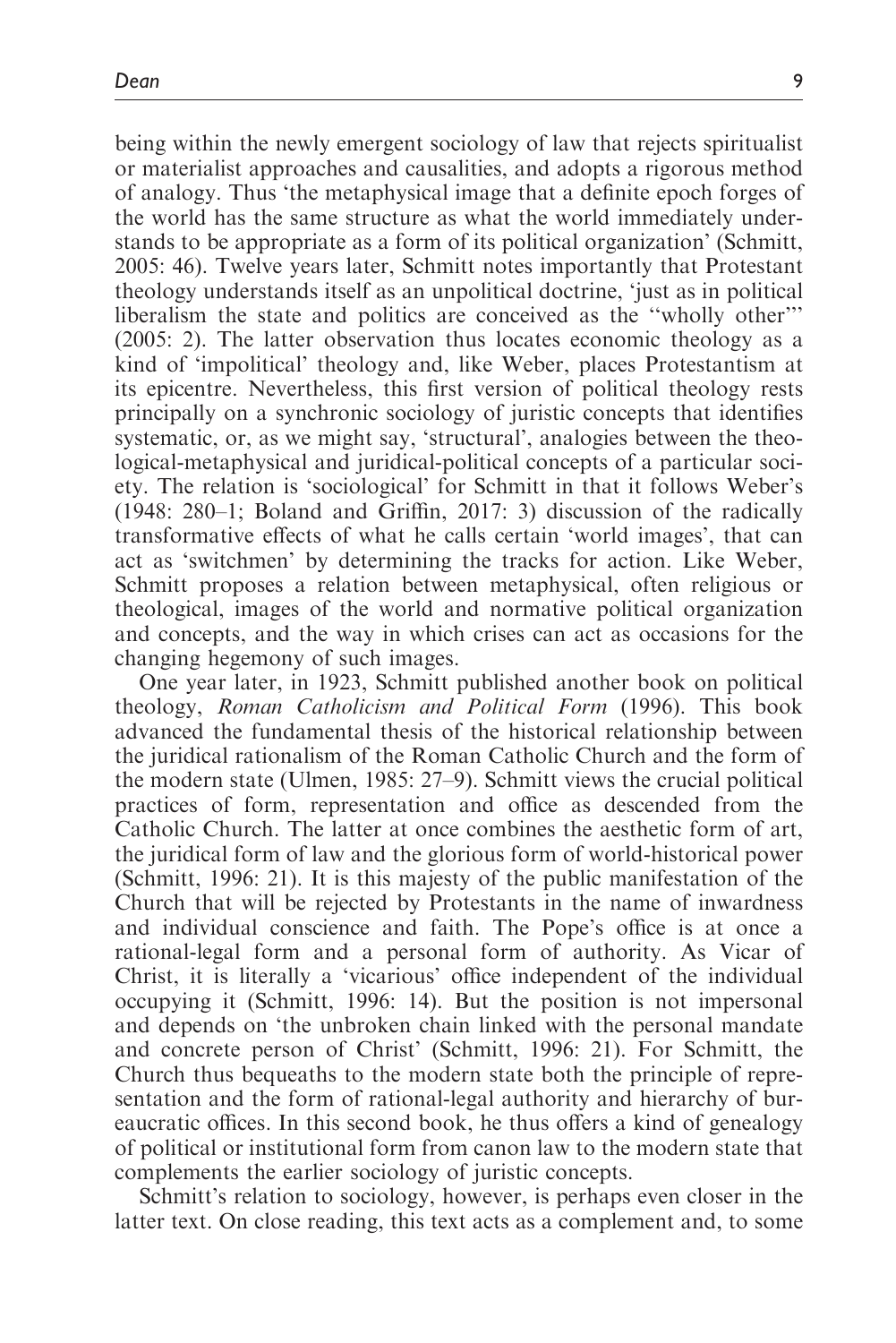being within the newly emergent sociology of law that rejects spiritualist or materialist approaches and causalities, and adopts a rigorous method of analogy. Thus 'the metaphysical image that a definite epoch forges of the world has the same structure as what the world immediately understands to be appropriate as a form of its political organization' (Schmitt, 2005: 46). Twelve years later, Schmitt notes importantly that Protestant theology understands itself as an unpolitical doctrine, 'just as in political liberalism the state and politics are conceived as the ''wholly other''' (2005: 2). The latter observation thus locates economic theology as a kind of 'impolitical' theology and, like Weber, places Protestantism at its epicentre. Nevertheless, this first version of political theology rests principally on a synchronic sociology of juristic concepts that identifies systematic, or, as we might say, 'structural', analogies between the theological-metaphysical and juridical-political concepts of a particular society. The relation is 'sociological' for Schmitt in that it follows Weber's (1948: 280–1; Boland and Griffin, 2017: 3) discussion of the radically transformative effects of what he calls certain 'world images', that can act as 'switchmen' by determining the tracks for action. Like Weber, Schmitt proposes a relation between metaphysical, often religious or theological, images of the world and normative political organization and concepts, and the way in which crises can act as occasions for the changing hegemony of such images.

One year later, in 1923, Schmitt published another book on political theology, Roman Catholicism and Political Form (1996). This book advanced the fundamental thesis of the historical relationship between the juridical rationalism of the Roman Catholic Church and the form of the modern state (Ulmen, 1985: 27–9). Schmitt views the crucial political practices of form, representation and office as descended from the Catholic Church. The latter at once combines the aesthetic form of art, the juridical form of law and the glorious form of world-historical power (Schmitt, 1996: 21). It is this majesty of the public manifestation of the Church that will be rejected by Protestants in the name of inwardness and individual conscience and faith. The Pope's office is at once a rational-legal form and a personal form of authority. As Vicar of Christ, it is literally a 'vicarious' office independent of the individual occupying it (Schmitt, 1996: 14). But the position is not impersonal and depends on 'the unbroken chain linked with the personal mandate and concrete person of Christ' (Schmitt, 1996: 21). For Schmitt, the Church thus bequeaths to the modern state both the principle of representation and the form of rational-legal authority and hierarchy of bureaucratic offices. In this second book, he thus offers a kind of genealogy of political or institutional form from canon law to the modern state that complements the earlier sociology of juristic concepts.

Schmitt's relation to sociology, however, is perhaps even closer in the latter text. On close reading, this text acts as a complement and, to some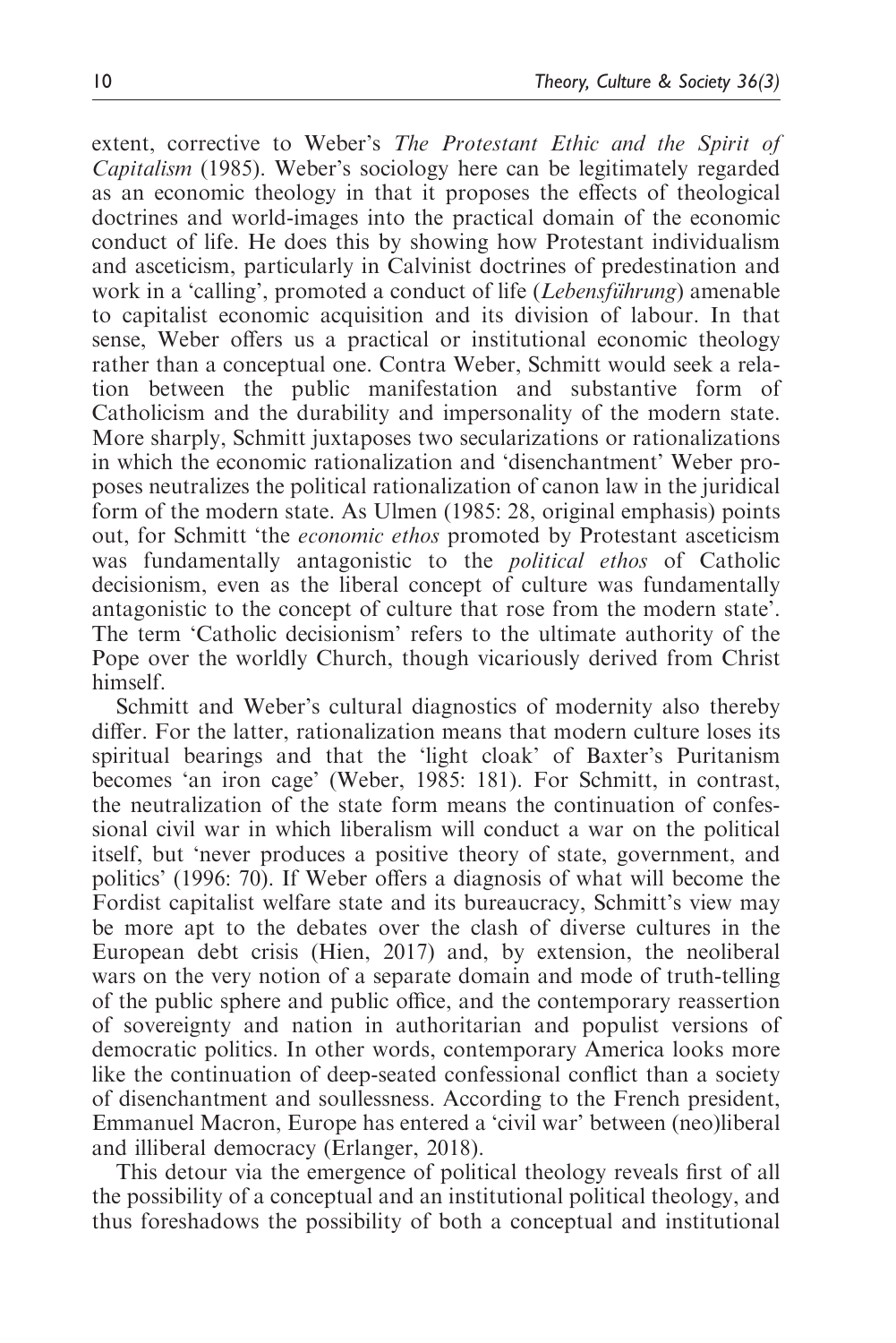extent, corrective to Weber's The Protestant Ethic and the Spirit of Capitalism (1985). Weber's sociology here can be legitimately regarded as an economic theology in that it proposes the effects of theological doctrines and world-images into the practical domain of the economic conduct of life. He does this by showing how Protestant individualism and asceticism, particularly in Calvinist doctrines of predestination and work in a 'calling', promoted a conduct of life (*Lebensführung*) amenable to capitalist economic acquisition and its division of labour. In that sense, Weber offers us a practical or institutional economic theology rather than a conceptual one. Contra Weber, Schmitt would seek a relation between the public manifestation and substantive form of Catholicism and the durability and impersonality of the modern state. More sharply, Schmitt juxtaposes two secularizations or rationalizations in which the economic rationalization and 'disenchantment' Weber proposes neutralizes the political rationalization of canon law in the juridical form of the modern state. As Ulmen (1985: 28, original emphasis) points out, for Schmitt 'the economic ethos promoted by Protestant asceticism was fundamentally antagonistic to the political ethos of Catholic decisionism, even as the liberal concept of culture was fundamentally antagonistic to the concept of culture that rose from the modern state'. The term 'Catholic decisionism' refers to the ultimate authority of the Pope over the worldly Church, though vicariously derived from Christ himself.

Schmitt and Weber's cultural diagnostics of modernity also thereby differ. For the latter, rationalization means that modern culture loses its spiritual bearings and that the 'light cloak' of Baxter's Puritanism becomes 'an iron cage' (Weber, 1985: 181). For Schmitt, in contrast, the neutralization of the state form means the continuation of confessional civil war in which liberalism will conduct a war on the political itself, but 'never produces a positive theory of state, government, and politics' (1996: 70). If Weber offers a diagnosis of what will become the Fordist capitalist welfare state and its bureaucracy, Schmitt's view may be more apt to the debates over the clash of diverse cultures in the European debt crisis (Hien, 2017) and, by extension, the neoliberal wars on the very notion of a separate domain and mode of truth-telling of the public sphere and public office, and the contemporary reassertion of sovereignty and nation in authoritarian and populist versions of democratic politics. In other words, contemporary America looks more like the continuation of deep-seated confessional conflict than a society of disenchantment and soullessness. According to the French president, Emmanuel Macron, Europe has entered a 'civil war' between (neo)liberal and illiberal democracy (Erlanger, 2018).

This detour via the emergence of political theology reveals first of all the possibility of a conceptual and an institutional political theology, and thus foreshadows the possibility of both a conceptual and institutional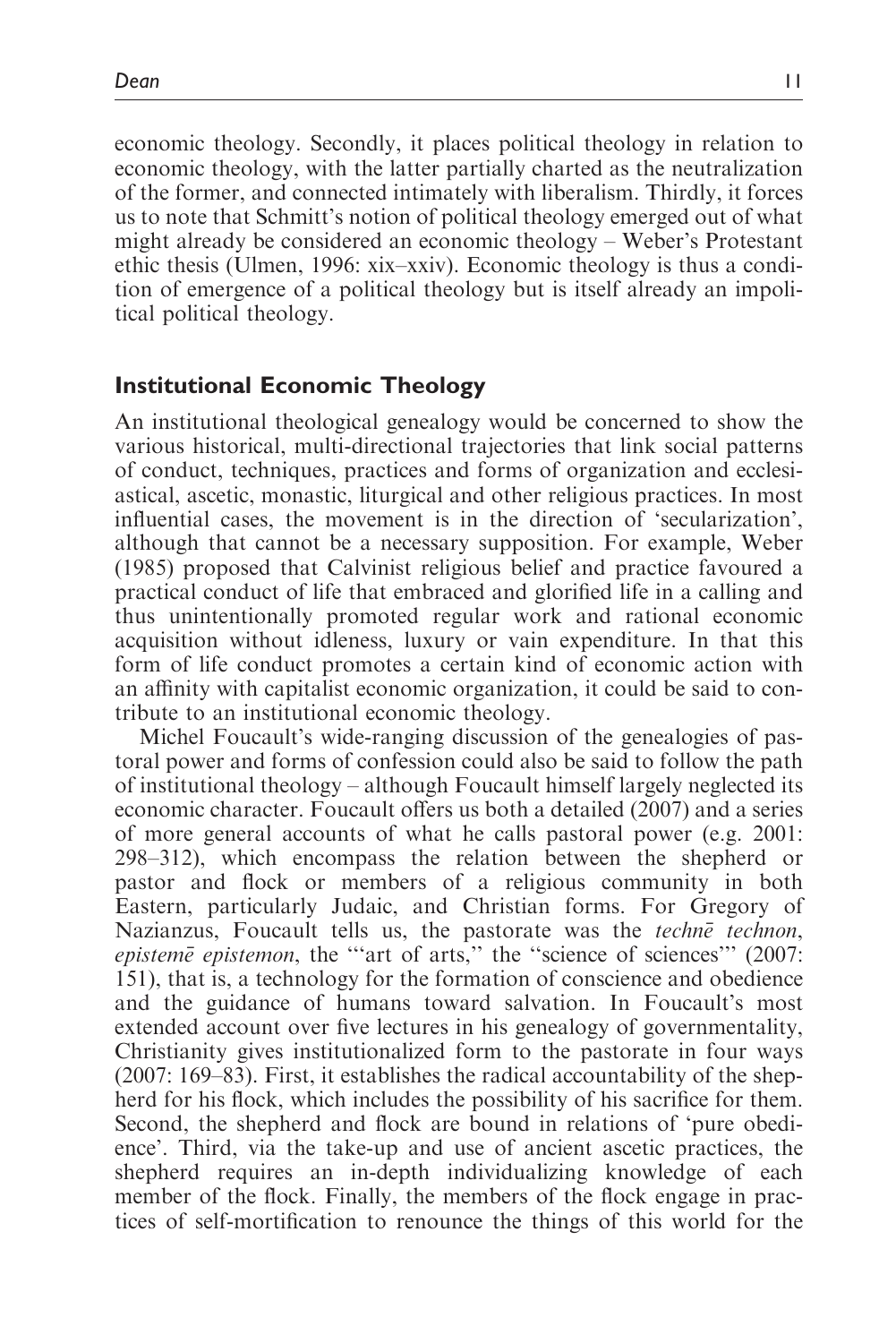economic theology. Secondly, it places political theology in relation to economic theology, with the latter partially charted as the neutralization of the former, and connected intimately with liberalism. Thirdly, it forces us to note that Schmitt's notion of political theology emerged out of what might already be considered an economic theology – Weber's Protestant ethic thesis (Ulmen, 1996: xix–xxiv). Economic theology is thus a condition of emergence of a political theology but is itself already an impolitical political theology.

# Institutional Economic Theology

An institutional theological genealogy would be concerned to show the various historical, multi-directional trajectories that link social patterns of conduct, techniques, practices and forms of organization and ecclesiastical, ascetic, monastic, liturgical and other religious practices. In most influential cases, the movement is in the direction of 'secularization', although that cannot be a necessary supposition. For example, Weber (1985) proposed that Calvinist religious belief and practice favoured a practical conduct of life that embraced and glorified life in a calling and thus unintentionally promoted regular work and rational economic acquisition without idleness, luxury or vain expenditure. In that this form of life conduct promotes a certain kind of economic action with an affinity with capitalist economic organization, it could be said to contribute to an institutional economic theology.

Michel Foucault's wide-ranging discussion of the genealogies of pastoral power and forms of confession could also be said to follow the path of institutional theology – although Foucault himself largely neglected its economic character. Foucault offers us both a detailed (2007) and a series of more general accounts of what he calls pastoral power (e.g. 2001: 298–312), which encompass the relation between the shepherd or pastor and flock or members of a religious community in both Eastern, particularly Judaic, and Christian forms. For Gregory of Nazianzus, Foucault tells us, the pastorate was the techne technon, episteme epistemon, the "'art of arts," the "science of sciences'"  $(2007:$ 151), that is, a technology for the formation of conscience and obedience and the guidance of humans toward salvation. In Foucault's most extended account over five lectures in his genealogy of governmentality, Christianity gives institutionalized form to the pastorate in four ways (2007: 169–83). First, it establishes the radical accountability of the shepherd for his flock, which includes the possibility of his sacrifice for them. Second, the shepherd and flock are bound in relations of 'pure obedience'. Third, via the take-up and use of ancient ascetic practices, the shepherd requires an in-depth individualizing knowledge of each member of the flock. Finally, the members of the flock engage in practices of self-mortification to renounce the things of this world for the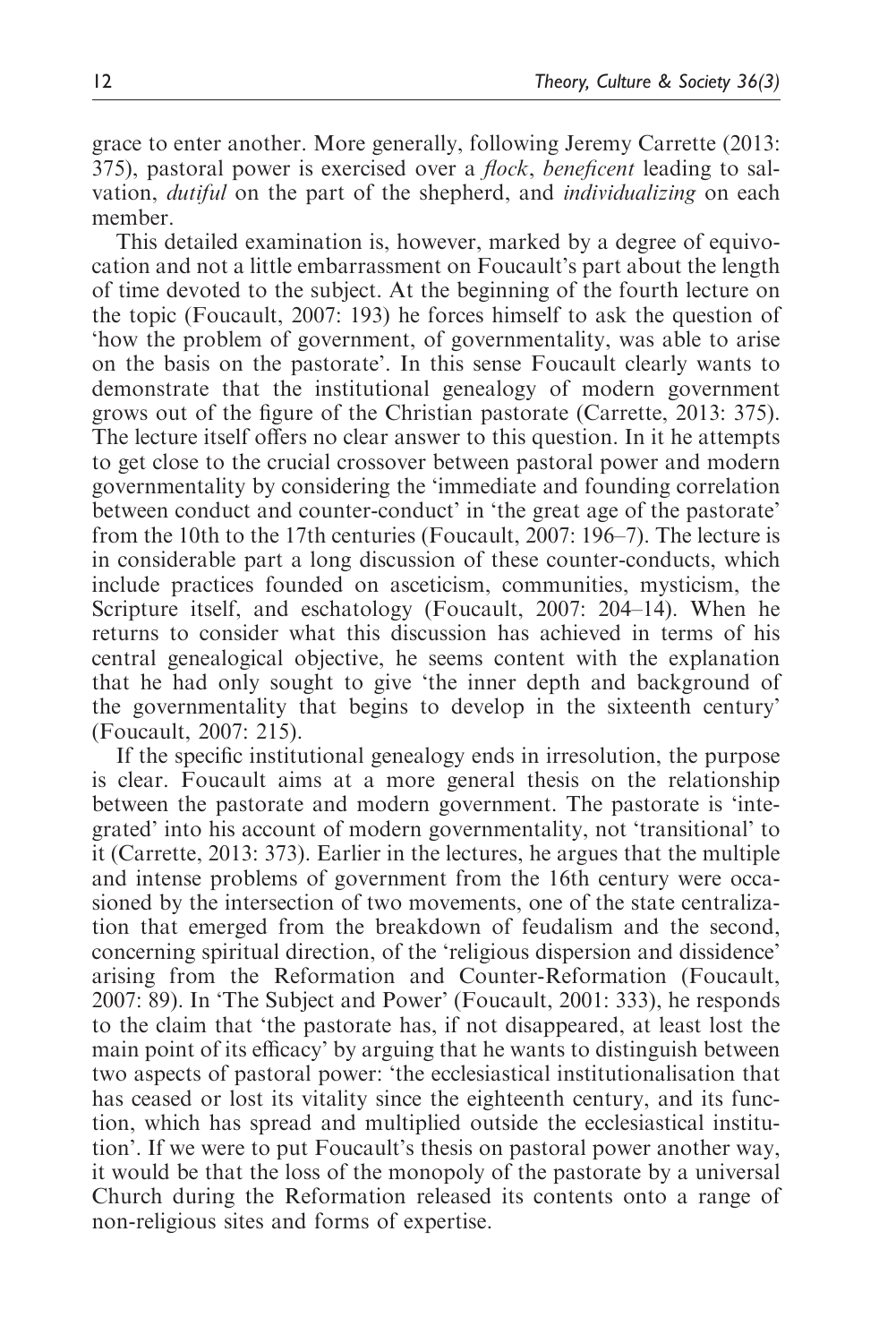grace to enter another. More generally, following Jeremy Carrette (2013: 375), pastoral power is exercised over a *flock*, *beneficent* leading to salvation, dutiful on the part of the shepherd, and individualizing on each member.

This detailed examination is, however, marked by a degree of equivocation and not a little embarrassment on Foucault's part about the length of time devoted to the subject. At the beginning of the fourth lecture on the topic (Foucault, 2007: 193) he forces himself to ask the question of 'how the problem of government, of governmentality, was able to arise on the basis on the pastorate'. In this sense Foucault clearly wants to demonstrate that the institutional genealogy of modern government grows out of the figure of the Christian pastorate (Carrette, 2013: 375). The lecture itself offers no clear answer to this question. In it he attempts to get close to the crucial crossover between pastoral power and modern governmentality by considering the 'immediate and founding correlation between conduct and counter-conduct' in 'the great age of the pastorate' from the 10th to the 17th centuries (Foucault, 2007: 196–7). The lecture is in considerable part a long discussion of these counter-conducts, which include practices founded on asceticism, communities, mysticism, the Scripture itself, and eschatology (Foucault, 2007: 204–14). When he returns to consider what this discussion has achieved in terms of his central genealogical objective, he seems content with the explanation that he had only sought to give 'the inner depth and background of the governmentality that begins to develop in the sixteenth century' (Foucault, 2007: 215).

If the specific institutional genealogy ends in irresolution, the purpose is clear. Foucault aims at a more general thesis on the relationship between the pastorate and modern government. The pastorate is 'integrated' into his account of modern governmentality, not 'transitional' to it (Carrette, 2013: 373). Earlier in the lectures, he argues that the multiple and intense problems of government from the 16th century were occasioned by the intersection of two movements, one of the state centralization that emerged from the breakdown of feudalism and the second, concerning spiritual direction, of the 'religious dispersion and dissidence' arising from the Reformation and Counter-Reformation (Foucault, 2007: 89). In 'The Subject and Power' (Foucault, 2001: 333), he responds to the claim that 'the pastorate has, if not disappeared, at least lost the main point of its efficacy' by arguing that he wants to distinguish between two aspects of pastoral power: 'the ecclesiastical institutionalisation that has ceased or lost its vitality since the eighteenth century, and its function, which has spread and multiplied outside the ecclesiastical institution'. If we were to put Foucault's thesis on pastoral power another way, it would be that the loss of the monopoly of the pastorate by a universal Church during the Reformation released its contents onto a range of non-religious sites and forms of expertise.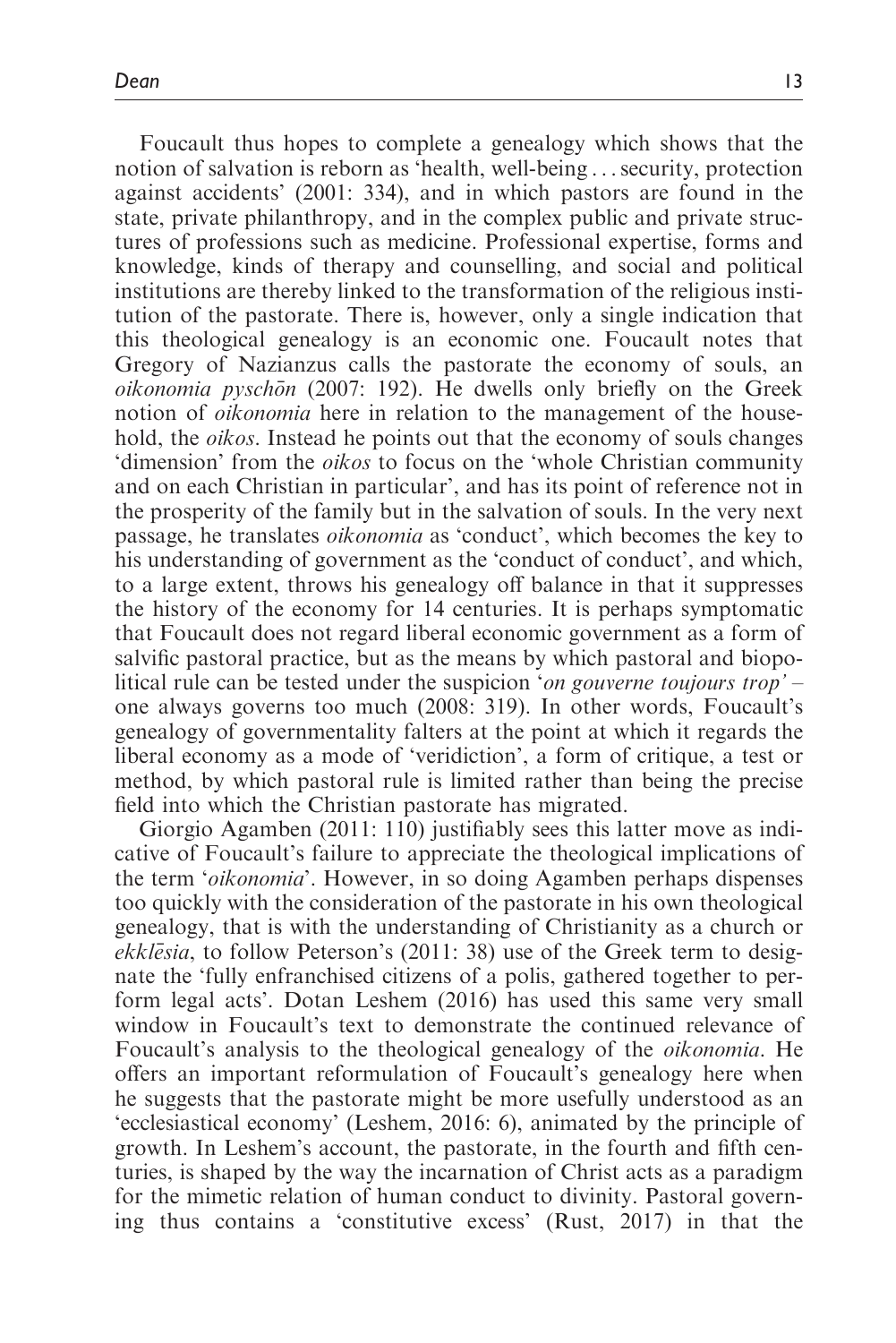Foucault thus hopes to complete a genealogy which shows that the notion of salvation is reborn as 'health, well-being ...security, protection against accidents' (2001: 334), and in which pastors are found in the state, private philanthropy, and in the complex public and private structures of professions such as medicine. Professional expertise, forms and knowledge, kinds of therapy and counselling, and social and political institutions are thereby linked to the transformation of the religious institution of the pastorate. There is, however, only a single indication that this theological genealogy is an economic one. Foucault notes that Gregory of Nazianzus calls the pastorate the economy of souls, an oikonomia pyschōn (2007: 192). He dwells only briefly on the Greek notion of *oikonomia* here in relation to the management of the household, the *oikos*. Instead he points out that the economy of souls changes 'dimension' from the oikos to focus on the 'whole Christian community and on each Christian in particular', and has its point of reference not in the prosperity of the family but in the salvation of souls. In the very next passage, he translates oikonomia as 'conduct', which becomes the key to his understanding of government as the 'conduct of conduct', and which, to a large extent, throws his genealogy off balance in that it suppresses the history of the economy for 14 centuries. It is perhaps symptomatic that Foucault does not regard liberal economic government as a form of salvific pastoral practice, but as the means by which pastoral and biopolitical rule can be tested under the suspicion 'on gouverne toujours trop' – one always governs too much (2008: 319). In other words, Foucault's genealogy of governmentality falters at the point at which it regards the liberal economy as a mode of 'veridiction', a form of critique, a test or method, by which pastoral rule is limited rather than being the precise field into which the Christian pastorate has migrated.

Giorgio Agamben (2011: 110) justifiably sees this latter move as indicative of Foucault's failure to appreciate the theological implications of the term 'oikonomia'. However, in so doing Agamben perhaps dispenses too quickly with the consideration of the pastorate in his own theological genealogy, that is with the understanding of Christianity as a church or ekklesia, to follow Peterson's (2011: 38) use of the Greek term to designate the 'fully enfranchised citizens of a polis, gathered together to perform legal acts'. Dotan Leshem (2016) has used this same very small window in Foucault's text to demonstrate the continued relevance of Foucault's analysis to the theological genealogy of the oikonomia. He offers an important reformulation of Foucault's genealogy here when he suggests that the pastorate might be more usefully understood as an 'ecclesiastical economy' (Leshem, 2016: 6), animated by the principle of growth. In Leshem's account, the pastorate, in the fourth and fifth centuries, is shaped by the way the incarnation of Christ acts as a paradigm for the mimetic relation of human conduct to divinity. Pastoral governing thus contains a 'constitutive excess' (Rust, 2017) in that the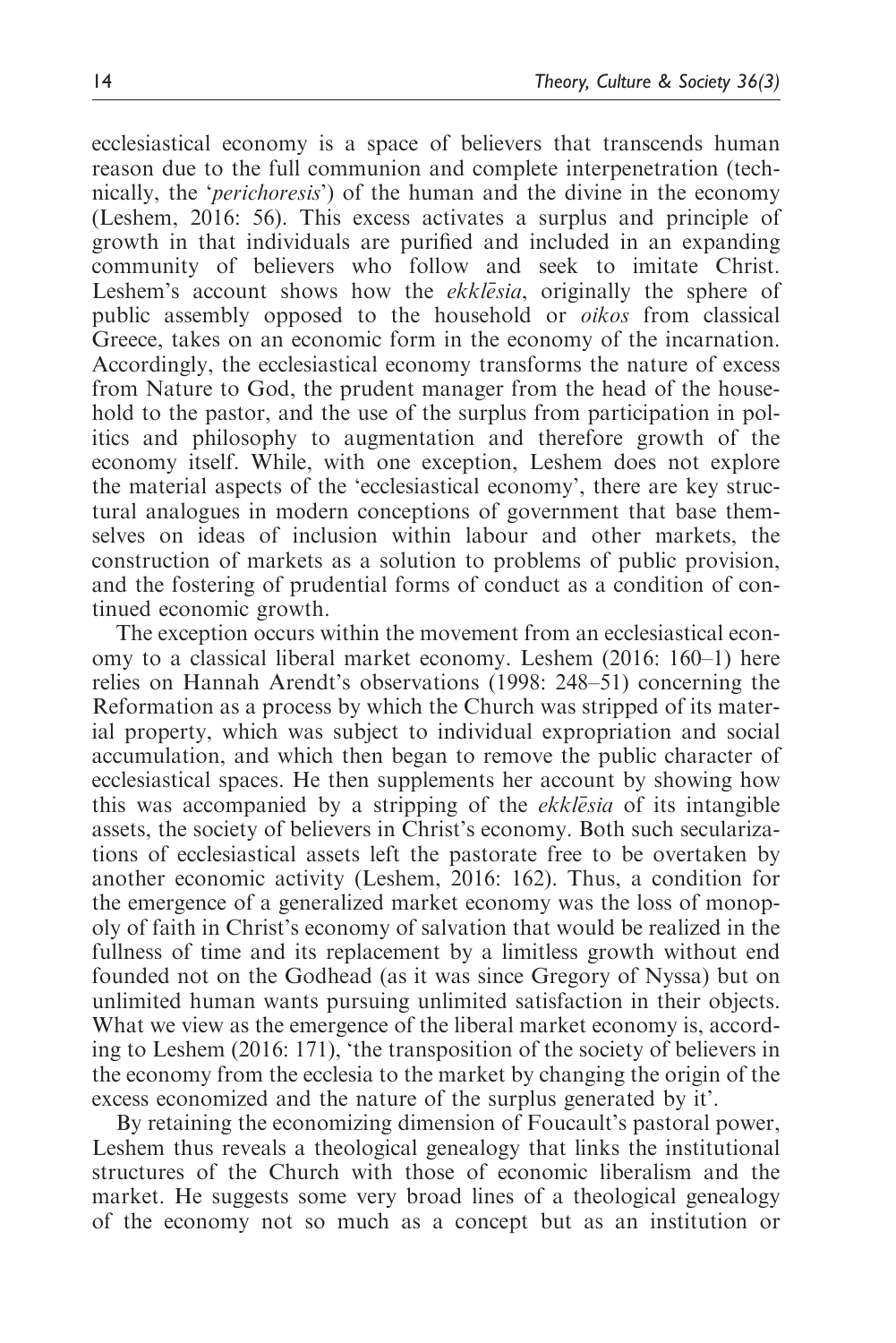ecclesiastical economy is a space of believers that transcends human reason due to the full communion and complete interpenetration (technically, the 'perichoresis') of the human and the divine in the economy (Leshem, 2016: 56). This excess activates a surplus and principle of growth in that individuals are purified and included in an expanding community of believers who follow and seek to imitate Christ. Leshem's account shows how the *ekklesia*, originally the sphere of public assembly opposed to the household or oikos from classical Greece, takes on an economic form in the economy of the incarnation. Accordingly, the ecclesiastical economy transforms the nature of excess from Nature to God, the prudent manager from the head of the household to the pastor, and the use of the surplus from participation in politics and philosophy to augmentation and therefore growth of the economy itself. While, with one exception, Leshem does not explore the material aspects of the 'ecclesiastical economy', there are key structural analogues in modern conceptions of government that base themselves on ideas of inclusion within labour and other markets, the construction of markets as a solution to problems of public provision, and the fostering of prudential forms of conduct as a condition of continued economic growth.

The exception occurs within the movement from an ecclesiastical economy to a classical liberal market economy. Leshem (2016: 160–1) here relies on Hannah Arendt's observations (1998: 248–51) concerning the Reformation as a process by which the Church was stripped of its material property, which was subject to individual expropriation and social accumulation, and which then began to remove the public character of ecclesiastical spaces. He then supplements her account by showing how this was accompanied by a stripping of the ekklesia of its intangible assets, the society of believers in Christ's economy. Both such secularizations of ecclesiastical assets left the pastorate free to be overtaken by another economic activity (Leshem, 2016: 162). Thus, a condition for the emergence of a generalized market economy was the loss of monopoly of faith in Christ's economy of salvation that would be realized in the fullness of time and its replacement by a limitless growth without end founded not on the Godhead (as it was since Gregory of Nyssa) but on unlimited human wants pursuing unlimited satisfaction in their objects. What we view as the emergence of the liberal market economy is, according to Leshem (2016: 171), 'the transposition of the society of believers in the economy from the ecclesia to the market by changing the origin of the excess economized and the nature of the surplus generated by it'.

By retaining the economizing dimension of Foucault's pastoral power, Leshem thus reveals a theological genealogy that links the institutional structures of the Church with those of economic liberalism and the market. He suggests some very broad lines of a theological genealogy of the economy not so much as a concept but as an institution or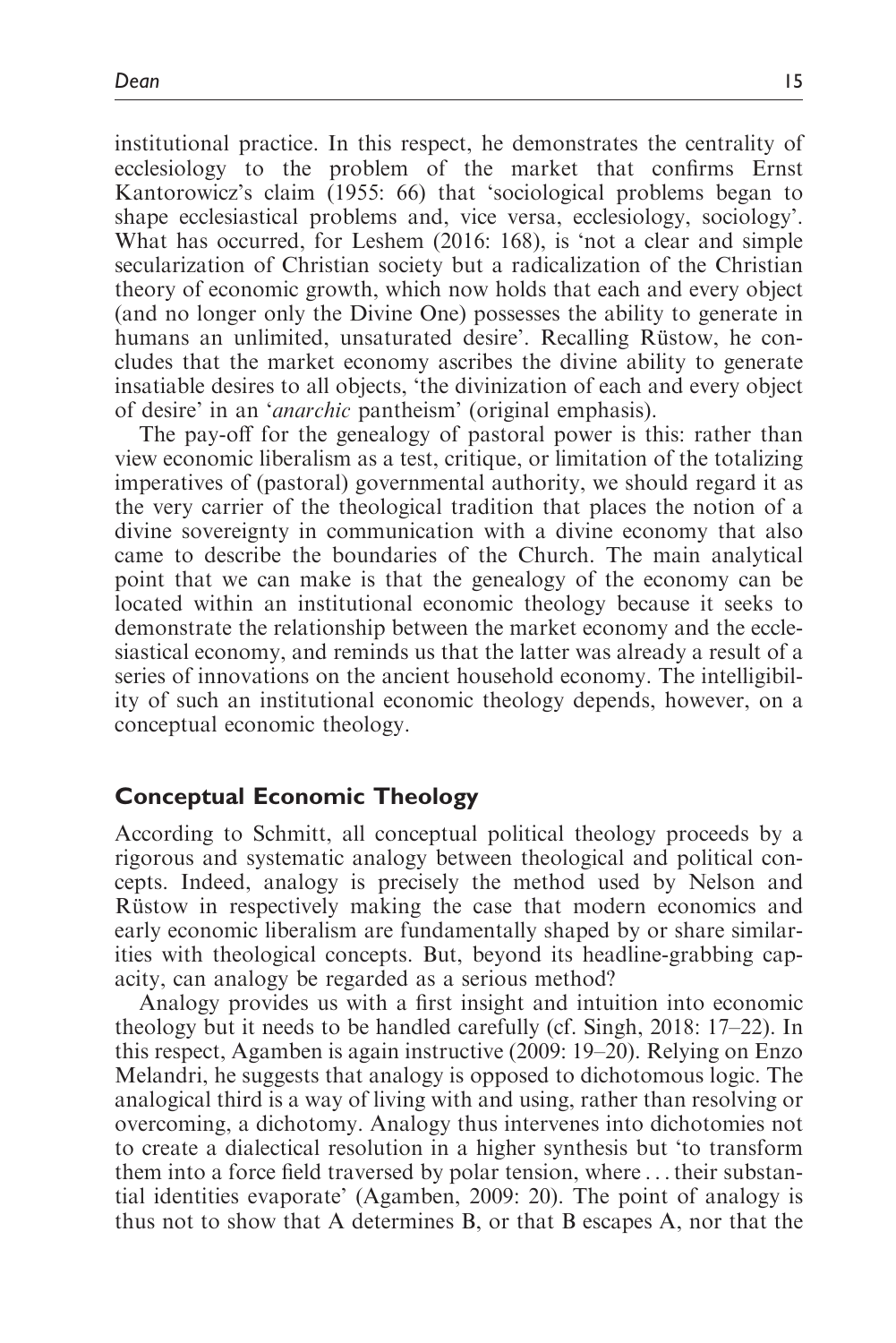institutional practice. In this respect, he demonstrates the centrality of ecclesiology to the problem of the market that confirms Ernst Kantorowicz's claim (1955: 66) that 'sociological problems began to shape ecclesiastical problems and, vice versa, ecclesiology, sociology'. What has occurred, for Leshem (2016: 168), is 'not a clear and simple secularization of Christian society but a radicalization of the Christian theory of economic growth, which now holds that each and every object (and no longer only the Divine One) possesses the ability to generate in humans an unlimited, unsaturated desire'. Recalling Rüstow, he concludes that the market economy ascribes the divine ability to generate insatiable desires to all objects, 'the divinization of each and every object of desire' in an 'anarchic pantheism' (original emphasis).

The pay-off for the genealogy of pastoral power is this: rather than view economic liberalism as a test, critique, or limitation of the totalizing imperatives of (pastoral) governmental authority, we should regard it as the very carrier of the theological tradition that places the notion of a divine sovereignty in communication with a divine economy that also came to describe the boundaries of the Church. The main analytical point that we can make is that the genealogy of the economy can be located within an institutional economic theology because it seeks to demonstrate the relationship between the market economy and the ecclesiastical economy, and reminds us that the latter was already a result of a series of innovations on the ancient household economy. The intelligibility of such an institutional economic theology depends, however, on a conceptual economic theology.

# Conceptual Economic Theology

According to Schmitt, all conceptual political theology proceeds by a rigorous and systematic analogy between theological and political concepts. Indeed, analogy is precisely the method used by Nelson and Rustow in respectively making the case that modern economics and early economic liberalism are fundamentally shaped by or share similarities with theological concepts. But, beyond its headline-grabbing capacity, can analogy be regarded as a serious method?

Analogy provides us with a first insight and intuition into economic theology but it needs to be handled carefully (cf. Singh, 2018: 17–22). In this respect, Agamben is again instructive (2009: 19–20). Relying on Enzo Melandri, he suggests that analogy is opposed to dichotomous logic. The analogical third is a way of living with and using, rather than resolving or overcoming, a dichotomy. Analogy thus intervenes into dichotomies not to create a dialectical resolution in a higher synthesis but 'to transform them into a force field traversed by polar tension, where ...their substantial identities evaporate' (Agamben, 2009: 20). The point of analogy is thus not to show that A determines B, or that B escapes A, nor that the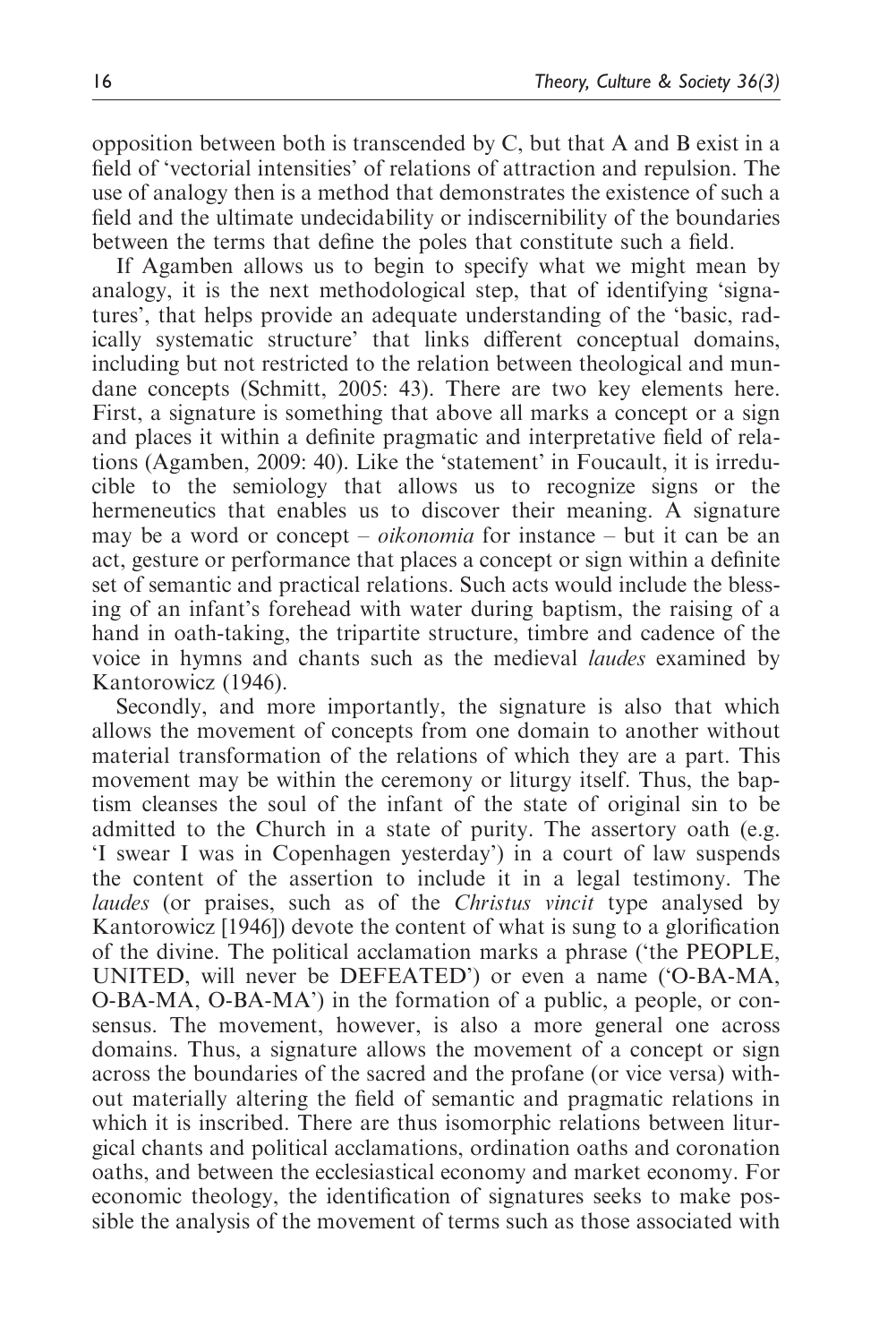opposition between both is transcended by C, but that A and B exist in a field of 'vectorial intensities' of relations of attraction and repulsion. The use of analogy then is a method that demonstrates the existence of such a field and the ultimate undecidability or indiscernibility of the boundaries between the terms that define the poles that constitute such a field.

If Agamben allows us to begin to specify what we might mean by analogy, it is the next methodological step, that of identifying 'signatures', that helps provide an adequate understanding of the 'basic, radically systematic structure' that links different conceptual domains, including but not restricted to the relation between theological and mundane concepts (Schmitt, 2005: 43). There are two key elements here. First, a signature is something that above all marks a concept or a sign and places it within a definite pragmatic and interpretative field of relations (Agamben, 2009: 40). Like the 'statement' in Foucault, it is irreducible to the semiology that allows us to recognize signs or the hermeneutics that enables us to discover their meaning. A signature may be a word or concept – *oikonomia* for instance – but it can be an act, gesture or performance that places a concept or sign within a definite set of semantic and practical relations. Such acts would include the blessing of an infant's forehead with water during baptism, the raising of a hand in oath-taking, the tripartite structure, timbre and cadence of the voice in hymns and chants such as the medieval laudes examined by Kantorowicz (1946).

Secondly, and more importantly, the signature is also that which allows the movement of concepts from one domain to another without material transformation of the relations of which they are a part. This movement may be within the ceremony or liturgy itself. Thus, the baptism cleanses the soul of the infant of the state of original sin to be admitted to the Church in a state of purity. The assertory oath (e.g. 'I swear I was in Copenhagen yesterday') in a court of law suspends the content of the assertion to include it in a legal testimony. The laudes (or praises, such as of the *Christus vincit* type analysed by Kantorowicz [1946]) devote the content of what is sung to a glorification of the divine. The political acclamation marks a phrase ('the PEOPLE, UNITED, will never be DEFEATED') or even a name ('O-BA-MA, O-BA-MA, O-BA-MA') in the formation of a public, a people, or consensus. The movement, however, is also a more general one across domains. Thus, a signature allows the movement of a concept or sign across the boundaries of the sacred and the profane (or vice versa) without materially altering the field of semantic and pragmatic relations in which it is inscribed. There are thus isomorphic relations between liturgical chants and political acclamations, ordination oaths and coronation oaths, and between the ecclesiastical economy and market economy. For economic theology, the identification of signatures seeks to make possible the analysis of the movement of terms such as those associated with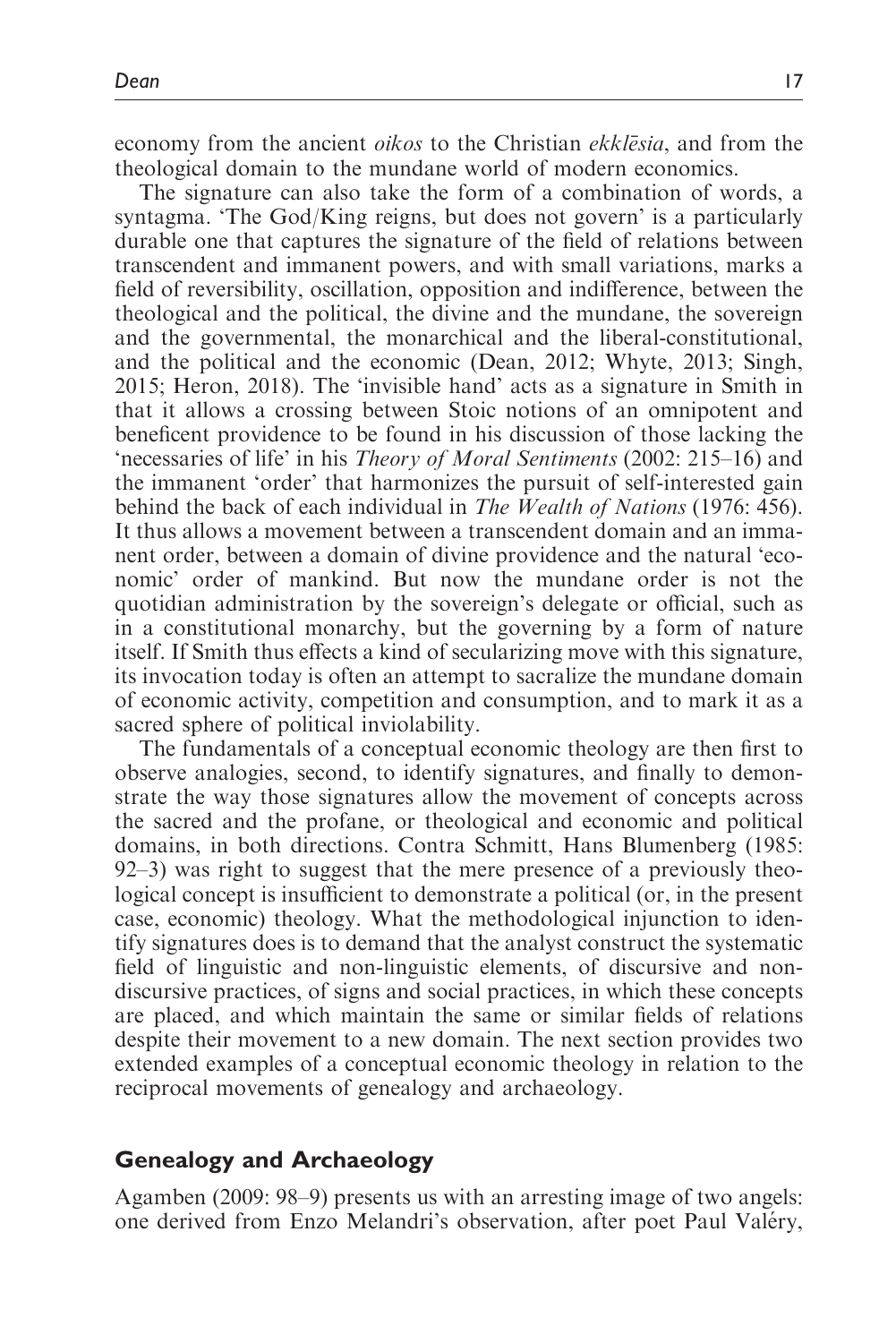economy from the ancient *oikos* to the Christian *ekklēsia*, and from the theological domain to the mundane world of modern economics.

The signature can also take the form of a combination of words, a syntagma. 'The God/King reigns, but does not govern' is a particularly durable one that captures the signature of the field of relations between transcendent and immanent powers, and with small variations, marks a field of reversibility, oscillation, opposition and indifference, between the theological and the political, the divine and the mundane, the sovereign and the governmental, the monarchical and the liberal-constitutional, and the political and the economic (Dean, 2012; Whyte, 2013; Singh, 2015; Heron, 2018). The 'invisible hand' acts as a signature in Smith in that it allows a crossing between Stoic notions of an omnipotent and beneficent providence to be found in his discussion of those lacking the 'necessaries of life' in his Theory of Moral Sentiments (2002: 215–16) and the immanent 'order' that harmonizes the pursuit of self-interested gain behind the back of each individual in The Wealth of Nations (1976: 456). It thus allows a movement between a transcendent domain and an immanent order, between a domain of divine providence and the natural 'economic' order of mankind. But now the mundane order is not the quotidian administration by the sovereign's delegate or official, such as in a constitutional monarchy, but the governing by a form of nature itself. If Smith thus effects a kind of secularizing move with this signature, its invocation today is often an attempt to sacralize the mundane domain of economic activity, competition and consumption, and to mark it as a sacred sphere of political inviolability.

The fundamentals of a conceptual economic theology are then first to observe analogies, second, to identify signatures, and finally to demonstrate the way those signatures allow the movement of concepts across the sacred and the profane, or theological and economic and political domains, in both directions. Contra Schmitt, Hans Blumenberg (1985: 92–3) was right to suggest that the mere presence of a previously theological concept is insufficient to demonstrate a political (or, in the present case, economic) theology. What the methodological injunction to identify signatures does is to demand that the analyst construct the systematic field of linguistic and non-linguistic elements, of discursive and nondiscursive practices, of signs and social practices, in which these concepts are placed, and which maintain the same or similar fields of relations despite their movement to a new domain. The next section provides two extended examples of a conceptual economic theology in relation to the reciprocal movements of genealogy and archaeology.

#### Genealogy and Archaeology

Agamben (2009: 98–9) presents us with an arresting image of two angels: one derived from Enzo Melandri's observation, after poet Paul Valéry,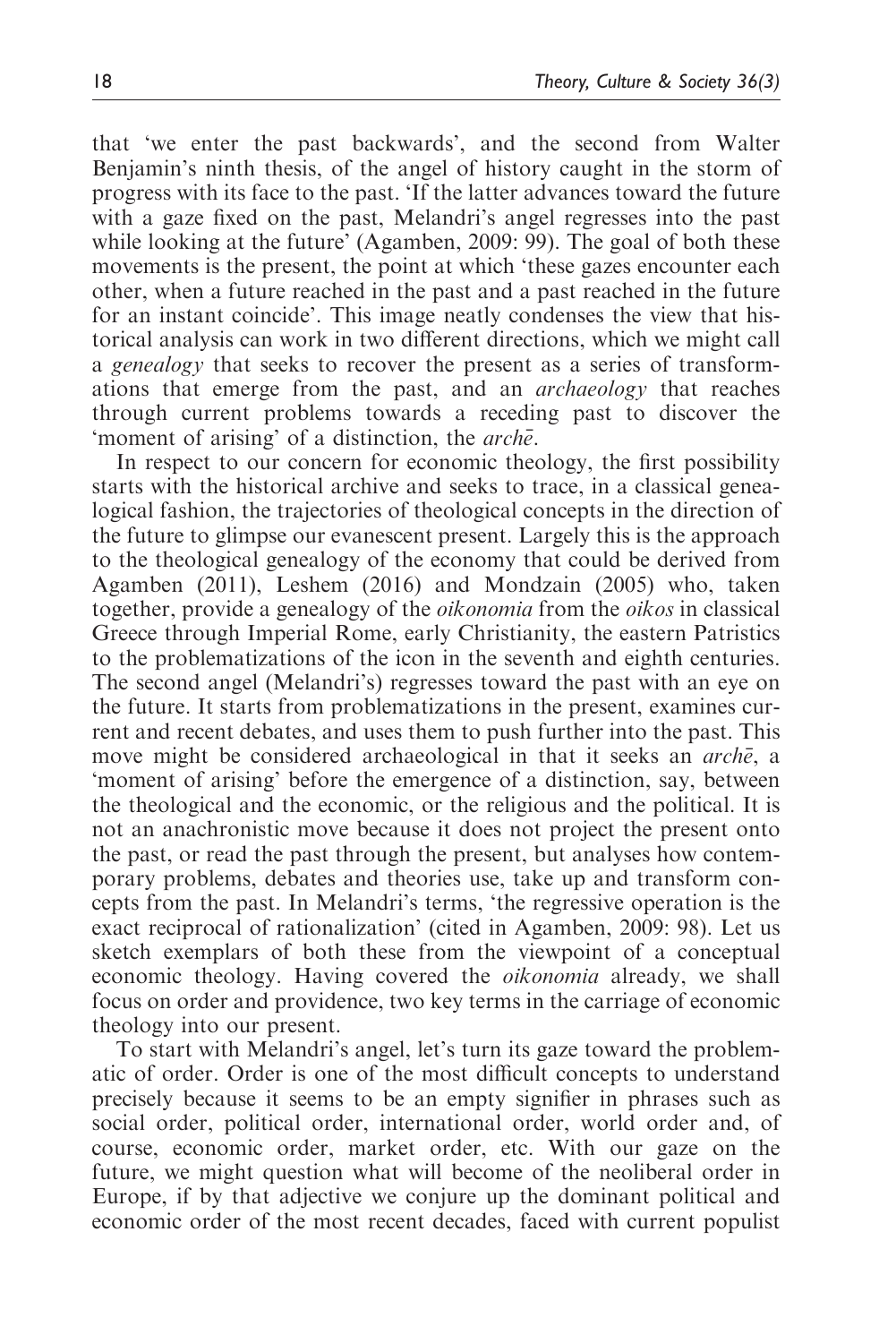that 'we enter the past backwards', and the second from Walter Benjamin's ninth thesis, of the angel of history caught in the storm of progress with its face to the past. 'If the latter advances toward the future with a gaze fixed on the past, Melandri's angel regresses into the past while looking at the future' (Agamben, 2009: 99). The goal of both these movements is the present, the point at which 'these gazes encounter each other, when a future reached in the past and a past reached in the future for an instant coincide'. This image neatly condenses the view that historical analysis can work in two different directions, which we might call a genealogy that seeks to recover the present as a series of transformations that emerge from the past, and an archaeology that reaches through current problems towards a receding past to discover the 'moment of arising' of a distinction, the *arche*.

In respect to our concern for economic theology, the first possibility starts with the historical archive and seeks to trace, in a classical genealogical fashion, the trajectories of theological concepts in the direction of the future to glimpse our evanescent present. Largely this is the approach to the theological genealogy of the economy that could be derived from Agamben (2011), Leshem (2016) and Mondzain (2005) who, taken together, provide a genealogy of the oikonomia from the oikos in classical Greece through Imperial Rome, early Christianity, the eastern Patristics to the problematizations of the icon in the seventh and eighth centuries. The second angel (Melandri's) regresses toward the past with an eye on the future. It starts from problematizations in the present, examines current and recent debates, and uses them to push further into the past. This move might be considered archaeological in that it seeks an *arche*, a 'moment of arising' before the emergence of a distinction, say, between the theological and the economic, or the religious and the political. It is not an anachronistic move because it does not project the present onto the past, or read the past through the present, but analyses how contemporary problems, debates and theories use, take up and transform concepts from the past. In Melandri's terms, 'the regressive operation is the exact reciprocal of rationalization' (cited in Agamben, 2009: 98). Let us sketch exemplars of both these from the viewpoint of a conceptual economic theology. Having covered the oikonomia already, we shall focus on order and providence, two key terms in the carriage of economic theology into our present.

To start with Melandri's angel, let's turn its gaze toward the problematic of order. Order is one of the most difficult concepts to understand precisely because it seems to be an empty signifier in phrases such as social order, political order, international order, world order and, of course, economic order, market order, etc. With our gaze on the future, we might question what will become of the neoliberal order in Europe, if by that adjective we conjure up the dominant political and economic order of the most recent decades, faced with current populist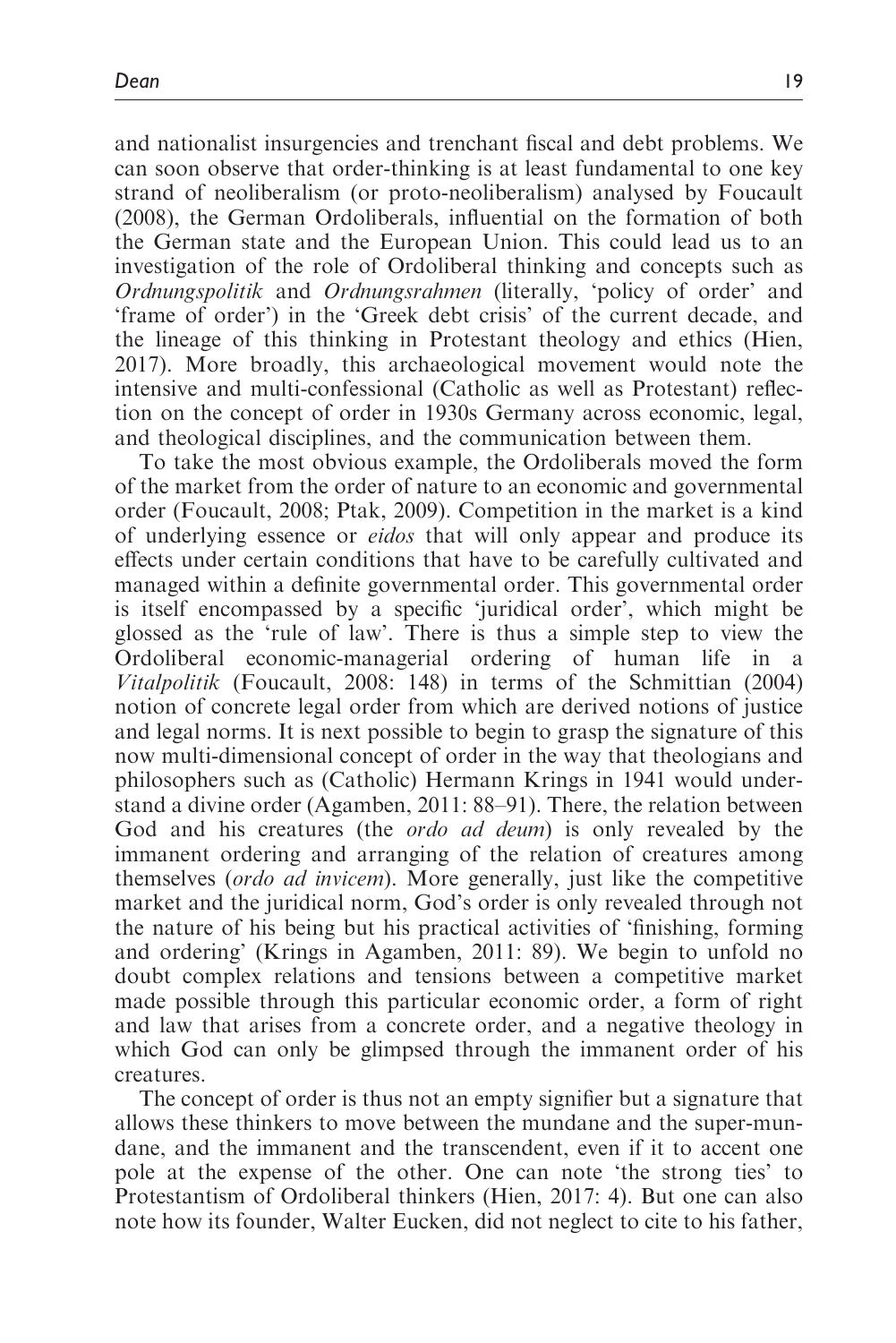and nationalist insurgencies and trenchant fiscal and debt problems. We can soon observe that order-thinking is at least fundamental to one key strand of neoliberalism (or proto-neoliberalism) analysed by Foucault (2008), the German Ordoliberals, influential on the formation of both the German state and the European Union. This could lead us to an investigation of the role of Ordoliberal thinking and concepts such as Ordnungspolitik and Ordnungsrahmen (literally, 'policy of order' and 'frame of order') in the 'Greek debt crisis' of the current decade, and the lineage of this thinking in Protestant theology and ethics (Hien, 2017). More broadly, this archaeological movement would note the intensive and multi-confessional (Catholic as well as Protestant) reflection on the concept of order in 1930s Germany across economic, legal, and theological disciplines, and the communication between them.

To take the most obvious example, the Ordoliberals moved the form of the market from the order of nature to an economic and governmental order (Foucault, 2008; Ptak, 2009). Competition in the market is a kind of underlying essence or eidos that will only appear and produce its effects under certain conditions that have to be carefully cultivated and managed within a definite governmental order. This governmental order is itself encompassed by a specific 'juridical order', which might be glossed as the 'rule of law'. There is thus a simple step to view the Ordoliberal economic-managerial ordering of human life in Vitalpolitik (Foucault, 2008: 148) in terms of the Schmittian (2004) notion of concrete legal order from which are derived notions of justice and legal norms. It is next possible to begin to grasp the signature of this now multi-dimensional concept of order in the way that theologians and philosophers such as (Catholic) Hermann Krings in 1941 would understand a divine order (Agamben, 2011: 88–91). There, the relation between God and his creatures (the *ordo ad deum*) is only revealed by the immanent ordering and arranging of the relation of creatures among themselves (ordo ad invicem). More generally, just like the competitive market and the juridical norm, God's order is only revealed through not the nature of his being but his practical activities of 'finishing, forming and ordering' (Krings in Agamben, 2011: 89). We begin to unfold no doubt complex relations and tensions between a competitive market made possible through this particular economic order, a form of right and law that arises from a concrete order, and a negative theology in which God can only be glimpsed through the immanent order of his creatures.

The concept of order is thus not an empty signifier but a signature that allows these thinkers to move between the mundane and the super-mundane, and the immanent and the transcendent, even if it to accent one pole at the expense of the other. One can note 'the strong ties' to Protestantism of Ordoliberal thinkers (Hien, 2017: 4). But one can also note how its founder, Walter Eucken, did not neglect to cite to his father,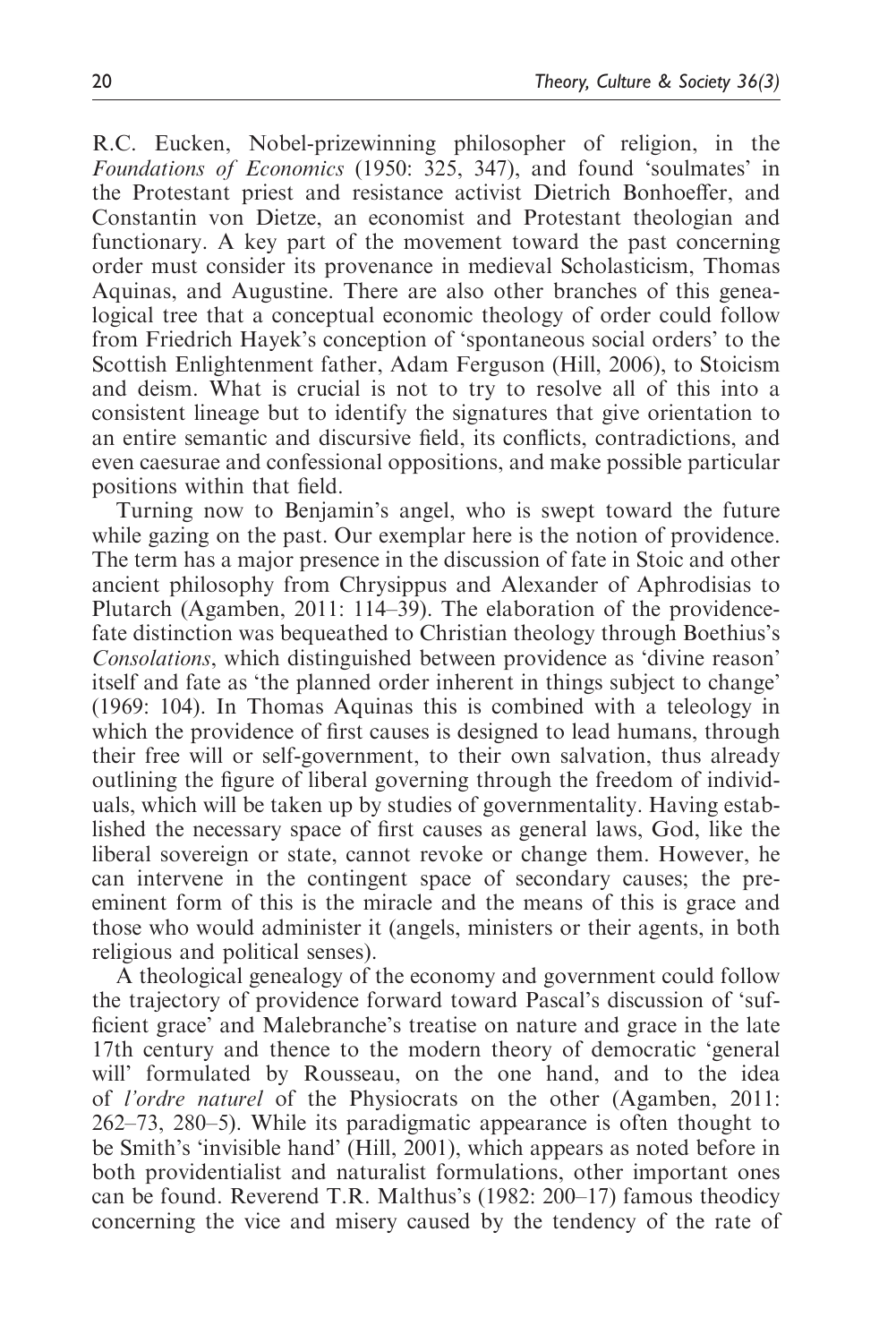R.C. Eucken, Nobel-prizewinning philosopher of religion, in the Foundations of Economics (1950: 325, 347), and found 'soulmates' in the Protestant priest and resistance activist Dietrich Bonhoeffer, and Constantin von Dietze, an economist and Protestant theologian and functionary. A key part of the movement toward the past concerning order must consider its provenance in medieval Scholasticism, Thomas Aquinas, and Augustine. There are also other branches of this genealogical tree that a conceptual economic theology of order could follow from Friedrich Hayek's conception of 'spontaneous social orders' to the Scottish Enlightenment father, Adam Ferguson (Hill, 2006), to Stoicism and deism. What is crucial is not to try to resolve all of this into a consistent lineage but to identify the signatures that give orientation to an entire semantic and discursive field, its conflicts, contradictions, and even caesurae and confessional oppositions, and make possible particular positions within that field.

Turning now to Benjamin's angel, who is swept toward the future while gazing on the past. Our exemplar here is the notion of providence. The term has a major presence in the discussion of fate in Stoic and other ancient philosophy from Chrysippus and Alexander of Aphrodisias to Plutarch (Agamben, 2011: 114–39). The elaboration of the providencefate distinction was bequeathed to Christian theology through Boethius's Consolations, which distinguished between providence as 'divine reason' itself and fate as 'the planned order inherent in things subject to change' (1969: 104). In Thomas Aquinas this is combined with a teleology in which the providence of first causes is designed to lead humans, through their free will or self-government, to their own salvation, thus already outlining the figure of liberal governing through the freedom of individuals, which will be taken up by studies of governmentality. Having established the necessary space of first causes as general laws, God, like the liberal sovereign or state, cannot revoke or change them. However, he can intervene in the contingent space of secondary causes; the preeminent form of this is the miracle and the means of this is grace and those who would administer it (angels, ministers or their agents, in both religious and political senses).

A theological genealogy of the economy and government could follow the trajectory of providence forward toward Pascal's discussion of 'sufficient grace' and Malebranche's treatise on nature and grace in the late 17th century and thence to the modern theory of democratic 'general will' formulated by Rousseau, on the one hand, and to the idea of l'ordre naturel of the Physiocrats on the other (Agamben, 2011: 262–73, 280–5). While its paradigmatic appearance is often thought to be Smith's 'invisible hand' (Hill, 2001), which appears as noted before in both providentialist and naturalist formulations, other important ones can be found. Reverend T.R. Malthus's (1982: 200–17) famous theodicy concerning the vice and misery caused by the tendency of the rate of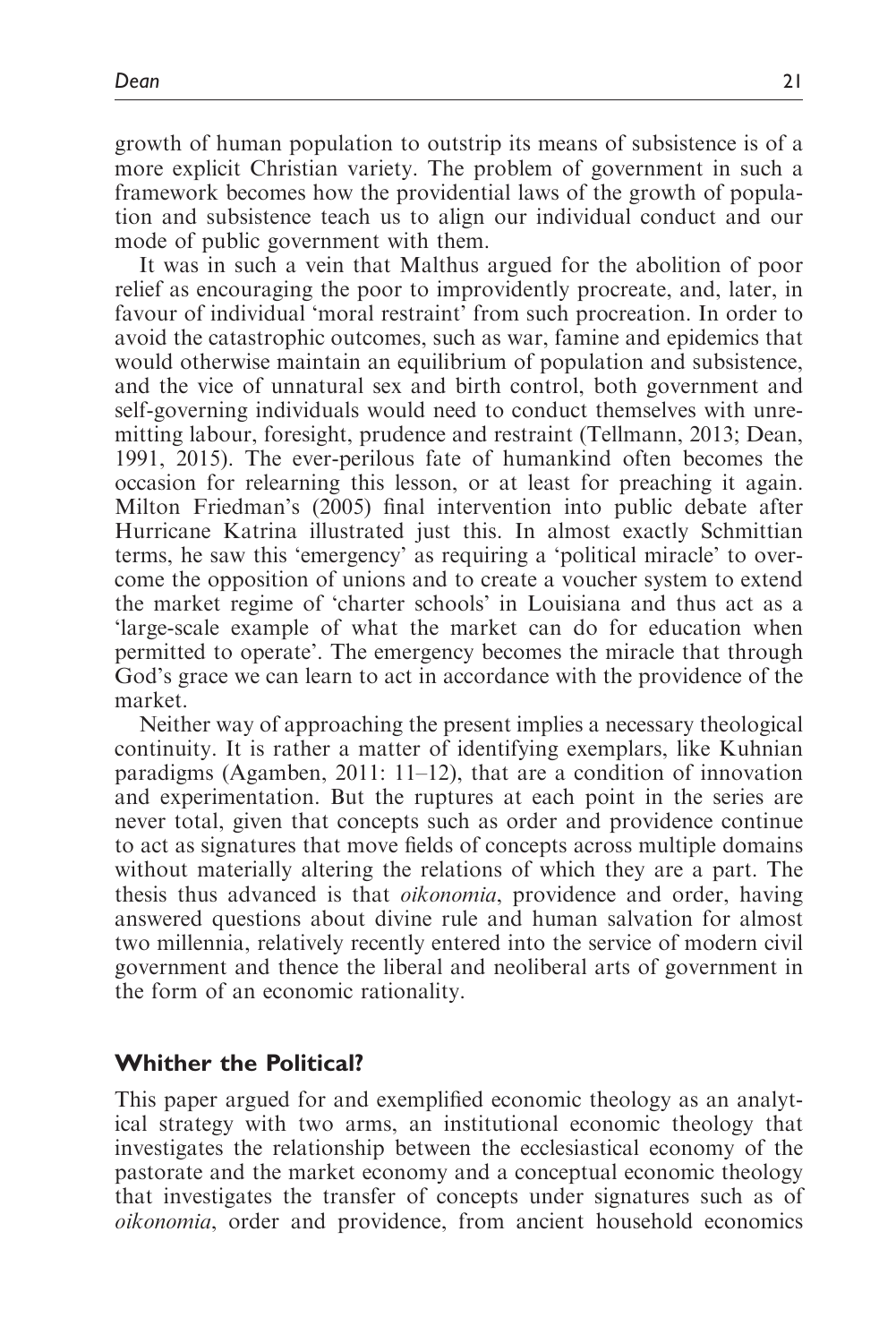growth of human population to outstrip its means of subsistence is of a more explicit Christian variety. The problem of government in such a framework becomes how the providential laws of the growth of population and subsistence teach us to align our individual conduct and our mode of public government with them.

It was in such a vein that Malthus argued for the abolition of poor relief as encouraging the poor to improvidently procreate, and, later, in favour of individual 'moral restraint' from such procreation. In order to avoid the catastrophic outcomes, such as war, famine and epidemics that would otherwise maintain an equilibrium of population and subsistence, and the vice of unnatural sex and birth control, both government and self-governing individuals would need to conduct themselves with unremitting labour, foresight, prudence and restraint (Tellmann, 2013; Dean, 1991, 2015). The ever-perilous fate of humankind often becomes the occasion for relearning this lesson, or at least for preaching it again. Milton Friedman's (2005) final intervention into public debate after Hurricane Katrina illustrated just this. In almost exactly Schmittian terms, he saw this 'emergency' as requiring a 'political miracle' to overcome the opposition of unions and to create a voucher system to extend the market regime of 'charter schools' in Louisiana and thus act as a 'large-scale example of what the market can do for education when permitted to operate'. The emergency becomes the miracle that through God's grace we can learn to act in accordance with the providence of the market.

Neither way of approaching the present implies a necessary theological continuity. It is rather a matter of identifying exemplars, like Kuhnian paradigms (Agamben, 2011: 11–12), that are a condition of innovation and experimentation. But the ruptures at each point in the series are never total, given that concepts such as order and providence continue to act as signatures that move fields of concepts across multiple domains without materially altering the relations of which they are a part. The thesis thus advanced is that oikonomia, providence and order, having answered questions about divine rule and human salvation for almost two millennia, relatively recently entered into the service of modern civil government and thence the liberal and neoliberal arts of government in the form of an economic rationality.

# Whither the Political?

This paper argued for and exemplified economic theology as an analytical strategy with two arms, an institutional economic theology that investigates the relationship between the ecclesiastical economy of the pastorate and the market economy and a conceptual economic theology that investigates the transfer of concepts under signatures such as of oikonomia, order and providence, from ancient household economics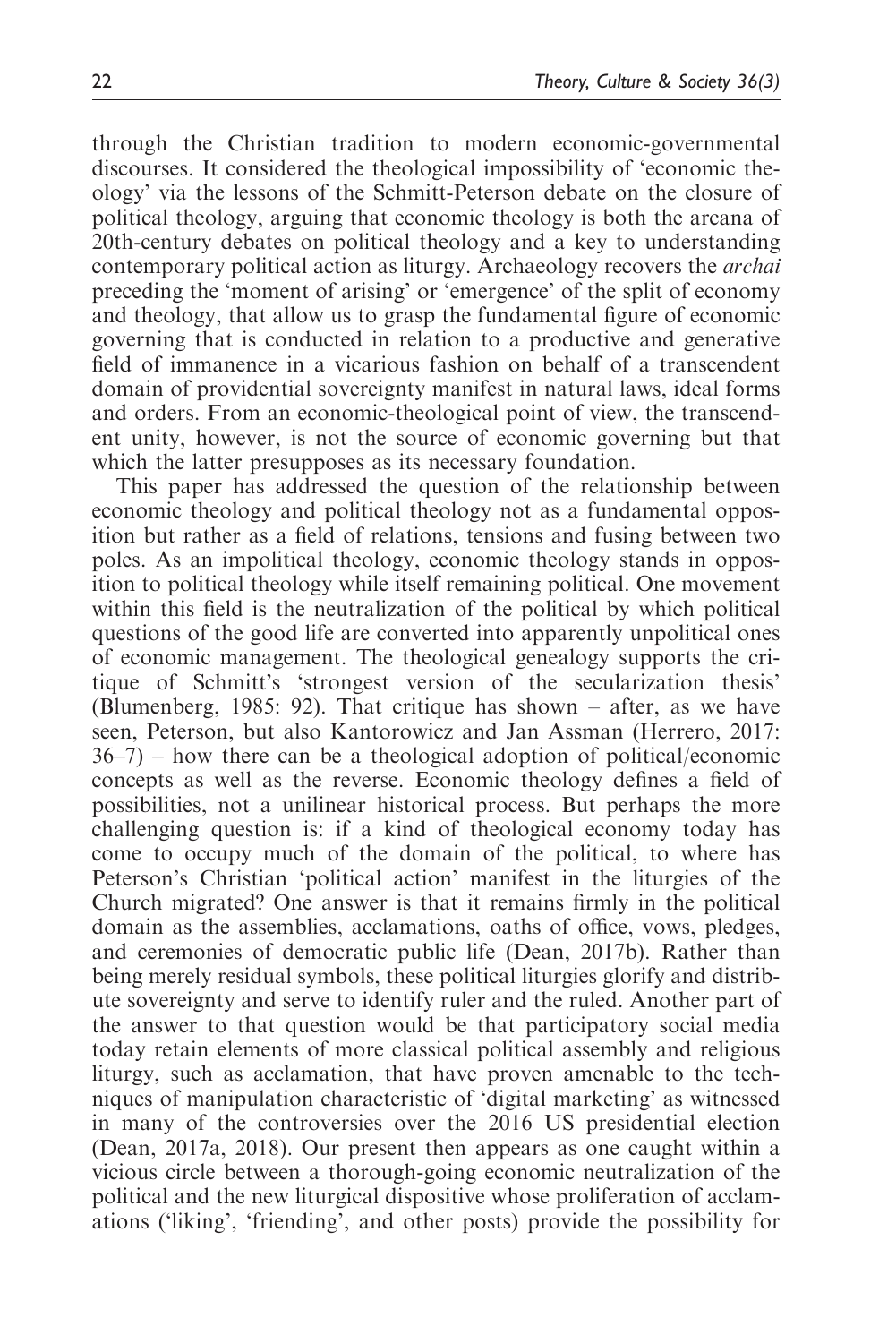through the Christian tradition to modern economic-governmental discourses. It considered the theological impossibility of 'economic theology' via the lessons of the Schmitt-Peterson debate on the closure of political theology, arguing that economic theology is both the arcana of 20th-century debates on political theology and a key to understanding contemporary political action as liturgy. Archaeology recovers the archai preceding the 'moment of arising' or 'emergence' of the split of economy and theology, that allow us to grasp the fundamental figure of economic governing that is conducted in relation to a productive and generative field of immanence in a vicarious fashion on behalf of a transcendent domain of providential sovereignty manifest in natural laws, ideal forms and orders. From an economic-theological point of view, the transcendent unity, however, is not the source of economic governing but that which the latter presupposes as its necessary foundation.

This paper has addressed the question of the relationship between economic theology and political theology not as a fundamental opposition but rather as a field of relations, tensions and fusing between two poles. As an impolitical theology, economic theology stands in opposition to political theology while itself remaining political. One movement within this field is the neutralization of the political by which political questions of the good life are converted into apparently unpolitical ones of economic management. The theological genealogy supports the critique of Schmitt's 'strongest version of the secularization thesis' (Blumenberg, 1985: 92). That critique has shown – after, as we have seen, Peterson, but also Kantorowicz and Jan Assman (Herrero, 2017: 36–7) – how there can be a theological adoption of political/economic concepts as well as the reverse. Economic theology defines a field of possibilities, not a unilinear historical process. But perhaps the more challenging question is: if a kind of theological economy today has come to occupy much of the domain of the political, to where has Peterson's Christian 'political action' manifest in the liturgies of the Church migrated? One answer is that it remains firmly in the political domain as the assemblies, acclamations, oaths of office, vows, pledges, and ceremonies of democratic public life (Dean, 2017b). Rather than being merely residual symbols, these political liturgies glorify and distribute sovereignty and serve to identify ruler and the ruled. Another part of the answer to that question would be that participatory social media today retain elements of more classical political assembly and religious liturgy, such as acclamation, that have proven amenable to the techniques of manipulation characteristic of 'digital marketing' as witnessed in many of the controversies over the 2016 US presidential election (Dean, 2017a, 2018). Our present then appears as one caught within a vicious circle between a thorough-going economic neutralization of the political and the new liturgical dispositive whose proliferation of acclamations ('liking', 'friending', and other posts) provide the possibility for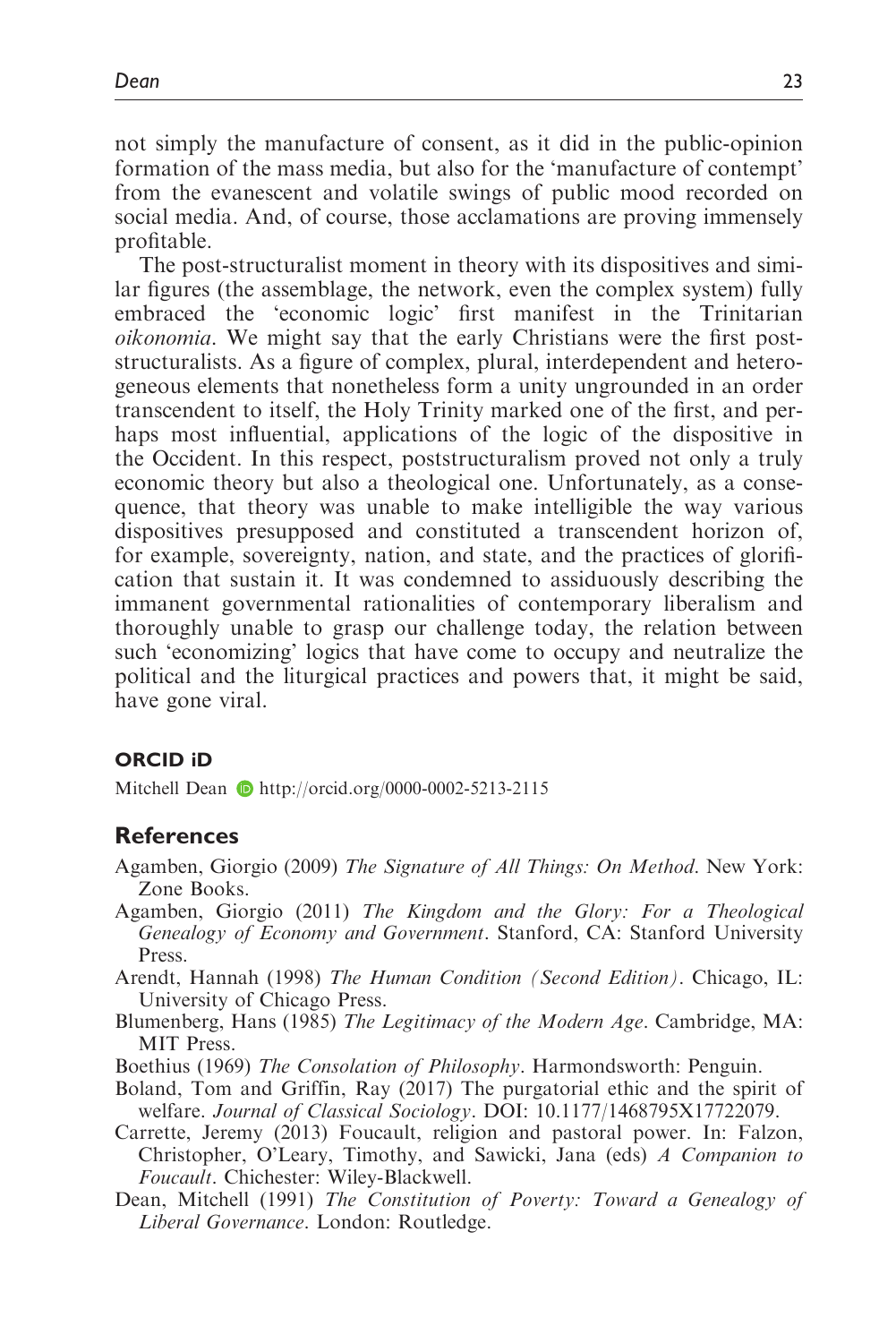not simply the manufacture of consent, as it did in the public-opinion formation of the mass media, but also for the 'manufacture of contempt' from the evanescent and volatile swings of public mood recorded on social media. And, of course, those acclamations are proving immensely profitable.

The post-structuralist moment in theory with its dispositives and similar figures (the assemblage, the network, even the complex system) fully embraced the 'economic logic' first manifest in the Trinitarian oikonomia. We might say that the early Christians were the first poststructuralists. As a figure of complex, plural, interdependent and heterogeneous elements that nonetheless form a unity ungrounded in an order transcendent to itself, the Holy Trinity marked one of the first, and perhaps most influential, applications of the logic of the dispositive in the Occident. In this respect, poststructuralism proved not only a truly economic theory but also a theological one. Unfortunately, as a consequence, that theory was unable to make intelligible the way various dispositives presupposed and constituted a transcendent horizon of, for example, sovereignty, nation, and state, and the practices of glorification that sustain it. It was condemned to assiduously describing the immanent governmental rationalities of contemporary liberalism and thoroughly unable to grasp our challenge today, the relation between such 'economizing' logics that have come to occupy and neutralize the political and the liturgical practices and powers that, it might be said, have gone viral.

### ORCID iD

Mitchell Dean **b** <http://orcid.org/0000-0002-5213-2115>

#### **References**

- Agamben, Giorgio (2009) The Signature of All Things: On Method. New York: Zone Books.
- Agamben, Giorgio (2011) The Kingdom and the Glory: For a Theological Genealogy of Economy and Government. Stanford, CA: Stanford University Press.
- Arendt, Hannah (1998) The Human Condition (Second Edition). Chicago, IL: University of Chicago Press.
- Blumenberg, Hans (1985) The Legitimacy of the Modern Age. Cambridge, MA: MIT Press.
- Boethius (1969) The Consolation of Philosophy. Harmondsworth: Penguin.
- Boland, Tom and Griffin, Ray (2017) The purgatorial ethic and the spirit of welfare. Journal of Classical Sociology. DOI: 10.1177/1468795X17722079.
- Carrette, Jeremy (2013) Foucault, religion and pastoral power. In: Falzon, Christopher, O'Leary, Timothy, and Sawicki, Jana (eds) A Companion to Foucault. Chichester: Wiley-Blackwell.
- Dean, Mitchell (1991) The Constitution of Poverty: Toward a Genealogy of Liberal Governance. London: Routledge.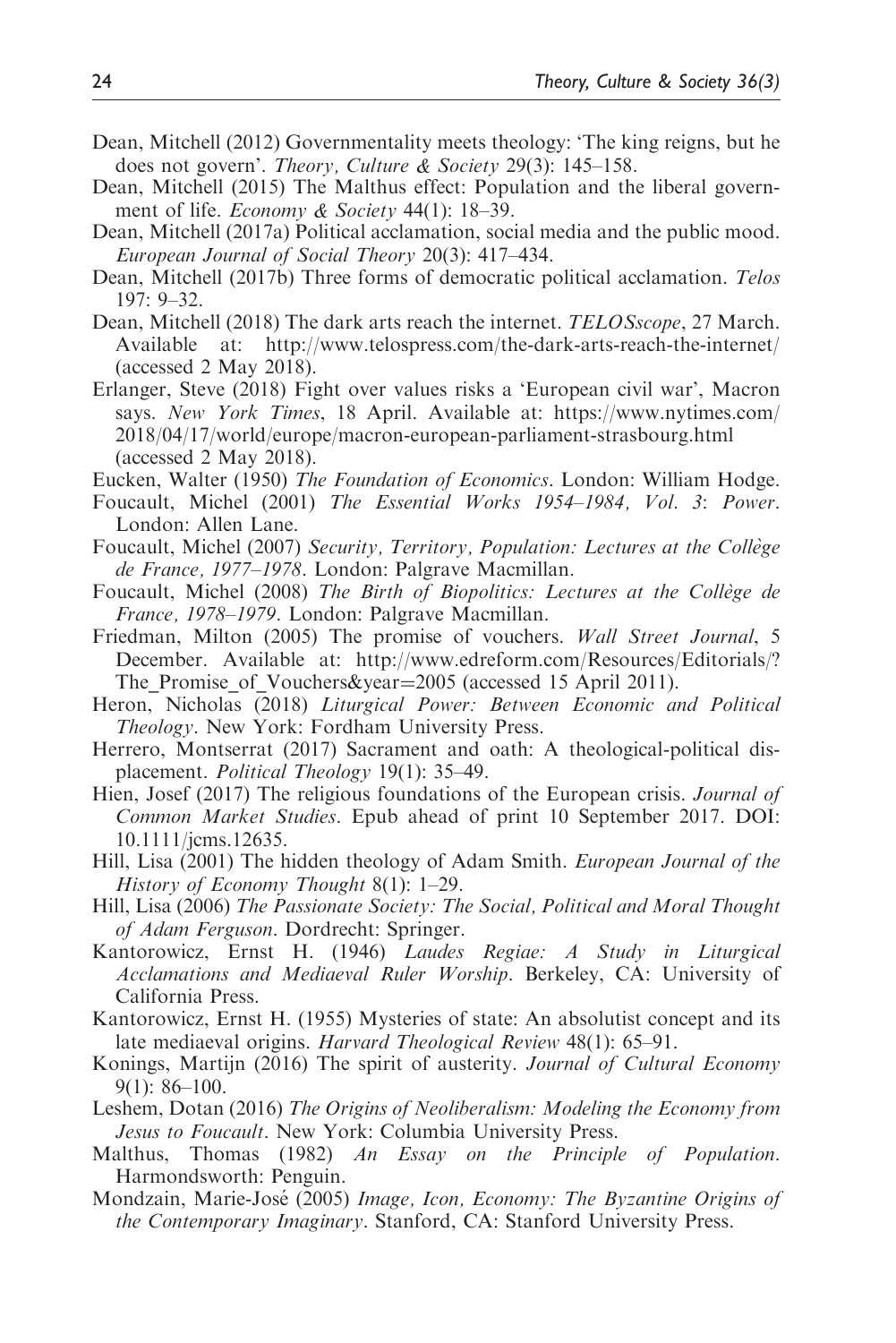- Dean, Mitchell (2012) Governmentality meets theology: 'The king reigns, but he does not govern'. Theory, Culture & Society 29(3): 145-158.
- Dean, Mitchell (2015) The Malthus effect: Population and the liberal government of life. *Economy & Society* 44(1): 18–39.
- Dean, Mitchell (2017a) Political acclamation, social media and the public mood. European Journal of Social Theory 20(3): 417–434.
- Dean, Mitchell (2017b) Three forms of democratic political acclamation. Telos 197: 9–32.
- Dean, Mitchell (2018) The dark arts reach the internet. TELOSscope, 27 March. Available at:<http://www.telospress.com/the-dark-arts-reach-the-internet/> (accessed 2 May 2018).
- Erlanger, Steve (2018) Fight over values risks a 'European civil war', Macron says. New York Times, 18 April. Available at: [https://www.nytimes.com/](https://www.nytimes.com/2018/04/17/world/europe/macron-european-parliament-strasbourg.html) [2018/04/17/world/europe/macron-european-parliament-strasbourg.html](https://www.nytimes.com/2018/04/17/world/europe/macron-european-parliament-strasbourg.html) (accessed 2 May 2018).
- Eucken, Walter (1950) The Foundation of Economics. London: William Hodge.
- Foucault, Michel (2001) The Essential Works 1954–1984, Vol. 3: Power. London: Allen Lane.
- Foucault, Michel (2007) Security, Territory, Population: Lectures at the Collège de France, 1977–1978. London: Palgrave Macmillan.
- Foucault, Michel (2008) The Birth of Biopolitics: Lectures at the Collège de France, 1978–1979. London: Palgrave Macmillan.
- Friedman, Milton (2005) The promise of vouchers. Wall Street Journal, 5 December. Available at: [http://www.edreform.com/Resources/Editorials/?](http://www.edreform.com/Resources/Editorials/?The_Promise_of_Vouchers&year2005) The Promise of Vouchers&year=[2005](http://www.edreform.com/Resources/Editorials/?The_Promise_of_Vouchers&year2005) (accessed 15 April 2011).
- Heron, Nicholas (2018) Liturgical Power: Between Economic and Political Theology. New York: Fordham University Press.
- Herrero, Montserrat (2017) Sacrament and oath: A theological-political displacement. *Political Theology* 19(1): 35–49.
- Hien, Josef (2017) The religious foundations of the European crisis. *Journal of* Common Market Studies. Epub ahead of print 10 September 2017. DOI: 10.1111/jcms.12635.
- Hill, Lisa (2001) The hidden theology of Adam Smith. European Journal of the History of Economy Thought 8(1): 1–29.
- Hill, Lisa (2006) The Passionate Society: The Social, Political and Moral Thought of Adam Ferguson. Dordrecht: Springer.
- Kantorowicz, Ernst H. (1946) Laudes Regiae: A Study in Liturgical Acclamations and Mediaeval Ruler Worship. Berkeley, CA: University of California Press.
- Kantorowicz, Ernst H. (1955) Mysteries of state: An absolutist concept and its late mediaeval origins. Harvard Theological Review 48(1): 65–91.
- Konings, Martijn (2016) The spirit of austerity. Journal of Cultural Economy 9(1): 86–100.
- Leshem, Dotan (2016) The Origins of Neoliberalism: Modeling the Economy from Jesus to Foucault. New York: Columbia University Press.
- Malthus, Thomas (1982) An Essay on the Principle of Population. Harmondsworth: Penguin.
- Mondzain, Marie-José (2005) Image, Icon, Economy: The Byzantine Origins of the Contemporary Imaginary. Stanford, CA: Stanford University Press.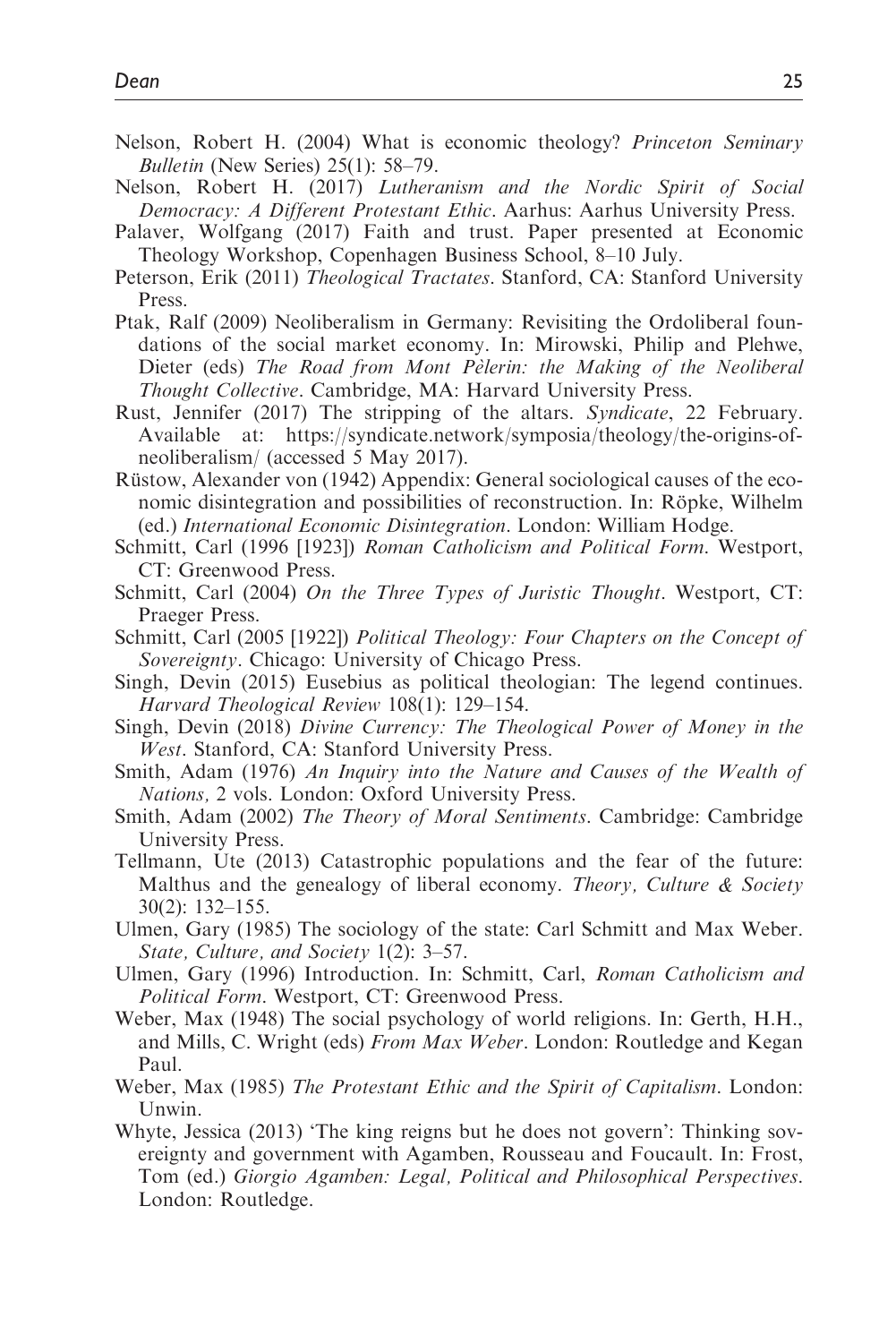- Nelson, Robert H. (2004) What is economic theology? Princeton Seminary Bulletin (New Series) 25(1): 58–79.
- Nelson, Robert H. (2017) Lutheranism and the Nordic Spirit of Social Democracy: A Different Protestant Ethic. Aarhus: Aarhus University Press.
- Palaver, Wolfgang (2017) Faith and trust. Paper presented at Economic Theology Workshop, Copenhagen Business School, 8–10 July.
- Peterson, Erik (2011) Theological Tractates. Stanford, CA: Stanford University Press.
- Ptak, Ralf (2009) Neoliberalism in Germany: Revisiting the Ordoliberal foundations of the social market economy. In: Mirowski, Philip and Plehwe, Dieter (eds) The Road from Mont Pelerin: the Making of the Neoliberal Thought Collective. Cambridge, MA: Harvard University Press.
- Rust, Jennifer (2017) The stripping of the altars. Syndicate, 22 February. Available at: [https://syndicate.network/symposia/theology/the-origins-of](https://syndicate.network/symposia/theology/the-origins-of-neoliberalism/)[neoliberalism/](https://syndicate.network/symposia/theology/the-origins-of-neoliberalism/) (accessed 5 May 2017).
- Rüstow, Alexander von (1942) Appendix: General sociological causes of the economic disintegration and possibilities of reconstruction. In: Röpke, Wilhelm (ed.) International Economic Disintegration. London: William Hodge.
- Schmitt, Carl (1996 [1923]) Roman Catholicism and Political Form. Westport, CT: Greenwood Press.
- Schmitt, Carl (2004) On the Three Types of Juristic Thought. Westport, CT: Praeger Press.
- Schmitt, Carl (2005 [1922]) Political Theology: Four Chapters on the Concept of Sovereignty. Chicago: University of Chicago Press.
- Singh, Devin (2015) Eusebius as political theologian: The legend continues. Harvard Theological Review 108(1): 129–154.
- Singh, Devin (2018) Divine Currency: The Theological Power of Money in the West. Stanford, CA: Stanford University Press.
- Smith, Adam (1976) An Inquiry into the Nature and Causes of the Wealth of Nations, 2 vols. London: Oxford University Press.
- Smith, Adam (2002) The Theory of Moral Sentiments. Cambridge: Cambridge University Press.
- Tellmann, Ute (2013) Catastrophic populations and the fear of the future: Malthus and the genealogy of liberal economy. Theory, Culture  $\&$  Society 30(2): 132–155.
- Ulmen, Gary (1985) The sociology of the state: Carl Schmitt and Max Weber. State, Culture, and Society 1(2): 3–57.
- Ulmen, Gary (1996) Introduction. In: Schmitt, Carl, Roman Catholicism and Political Form. Westport, CT: Greenwood Press.
- Weber, Max (1948) The social psychology of world religions. In: Gerth, H.H., and Mills, C. Wright (eds) From Max Weber. London: Routledge and Kegan Paul.
- Weber, Max (1985) The Protestant Ethic and the Spirit of Capitalism. London: Unwin.
- Whyte, Jessica (2013) 'The king reigns but he does not govern': Thinking sovereignty and government with Agamben, Rousseau and Foucault. In: Frost, Tom (ed.) Giorgio Agamben: Legal, Political and Philosophical Perspectives. London: Routledge.